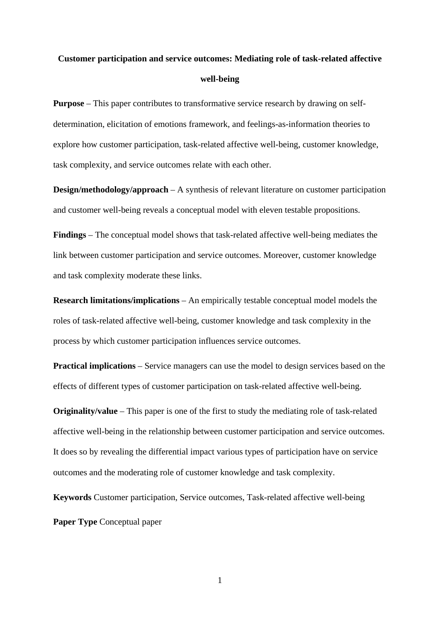# **Customer participation and service outcomes: Mediating role of task-related affective well-being**

**Purpose** – This paper contributes to transformative service research by drawing on selfdetermination, elicitation of emotions framework, and feelings-as-information theories to explore how customer participation, task-related affective well-being, customer knowledge, task complexity, and service outcomes relate with each other.

**Design/methodology/approach** – A synthesis of relevant literature on customer participation and customer well-being reveals a conceptual model with eleven testable propositions.

**Findings** – The conceptual model shows that task-related affective well-being mediates the link between customer participation and service outcomes. Moreover, customer knowledge and task complexity moderate these links.

**Research limitations/implications** – An empirically testable conceptual model models the roles of task-related affective well-being, customer knowledge and task complexity in the process by which customer participation influences service outcomes.

**Practical implications** – Service managers can use the model to design services based on the effects of different types of customer participation on task-related affective well-being.

**Originality/value** – This paper is one of the first to study the mediating role of task-related affective well-being in the relationship between customer participation and service outcomes. It does so by revealing the differential impact various types of participation have on service outcomes and the moderating role of customer knowledge and task complexity.

**Keywords** Customer participation, Service outcomes, Task-related affective well-being

**Paper Type** Conceptual paper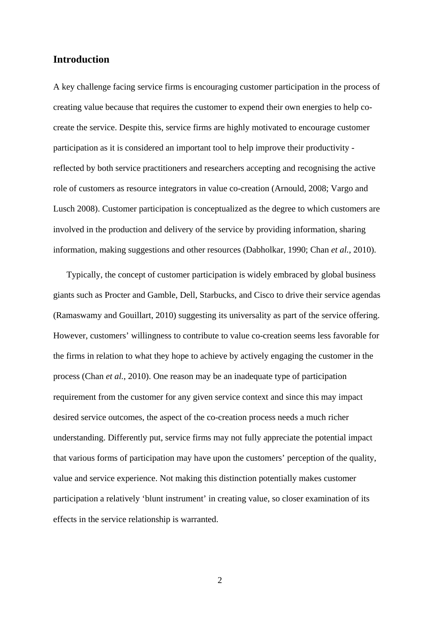## **Introduction**

A key challenge facing service firms is encouraging customer participation in the process of creating value because that requires the customer to expend their own energies to help cocreate the service. Despite this, service firms are highly motivated to encourage customer participation as it is considered an important tool to help improve their productivity reflected by both service practitioners and researchers accepting and recognising the active role of customers as resource integrators in value co-creation (Arnould, 2008; Vargo and Lusch 2008). Customer participation is conceptualized as the degree to which customers are involved in the production and delivery of the service by providing information, sharing information, making suggestions and other resources (Dabholkar, 1990; Chan *et al.*, 2010).

Typically, the concept of customer participation is widely embraced by global business giants such as Procter and Gamble, Dell, Starbucks, and Cisco to drive their service agendas (Ramaswamy and Gouillart, 2010) suggesting its universality as part of the service offering. However, customers' willingness to contribute to value co-creation seems less favorable for the firms in relation to what they hope to achieve by actively engaging the customer in the process (Chan *et al.*, 2010). One reason may be an inadequate type of participation requirement from the customer for any given service context and since this may impact desired service outcomes, the aspect of the co-creation process needs a much richer understanding. Differently put, service firms may not fully appreciate the potential impact that various forms of participation may have upon the customers' perception of the quality, value and service experience. Not making this distinction potentially makes customer participation a relatively 'blunt instrument' in creating value, so closer examination of its effects in the service relationship is warranted.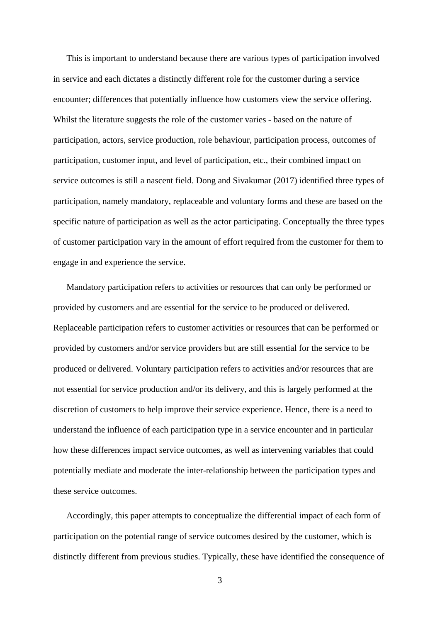This is important to understand because there are various types of participation involved in service and each dictates a distinctly different role for the customer during a service encounter; differences that potentially influence how customers view the service offering. Whilst the literature suggests the role of the customer varies - based on the nature of participation, actors, service production, role behaviour, participation process, outcomes of participation, customer input, and level of participation, etc., their combined impact on service outcomes is still a nascent field. Dong and Sivakumar (2017) identified three types of participation, namely mandatory, replaceable and voluntary forms and these are based on the specific nature of participation as well as the actor participating. Conceptually the three types of customer participation vary in the amount of effort required from the customer for them to engage in and experience the service.

Mandatory participation refers to activities or resources that can only be performed or provided by customers and are essential for the service to be produced or delivered. Replaceable participation refers to customer activities or resources that can be performed or provided by customers and/or service providers but are still essential for the service to be produced or delivered. Voluntary participation refers to activities and/or resources that are not essential for service production and/or its delivery, and this is largely performed at the discretion of customers to help improve their service experience. Hence, there is a need to understand the influence of each participation type in a service encounter and in particular how these differences impact service outcomes, as well as intervening variables that could potentially mediate and moderate the inter-relationship between the participation types and these service outcomes.

Accordingly, this paper attempts to conceptualize the differential impact of each form of participation on the potential range of service outcomes desired by the customer, which is distinctly different from previous studies. Typically, these have identified the consequence of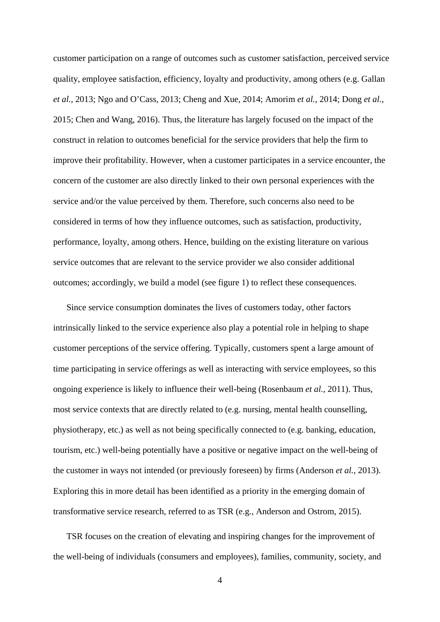customer participation on a range of outcomes such as customer satisfaction, perceived service quality, employee satisfaction, efficiency, loyalty and productivity, among others (e.g. Gallan *et al.*, 2013; Ngo and O'Cass, 2013; Cheng and Xue, 2014; Amorim *et al.*, 2014; Dong *et al.*, 2015; Chen and Wang, 2016). Thus, the literature has largely focused on the impact of the construct in relation to outcomes beneficial for the service providers that help the firm to improve their profitability. However, when a customer participates in a service encounter, the concern of the customer are also directly linked to their own personal experiences with the service and/or the value perceived by them. Therefore, such concerns also need to be considered in terms of how they influence outcomes, such as satisfaction, productivity, performance, loyalty, among others. Hence, building on the existing literature on various service outcomes that are relevant to the service provider we also consider additional outcomes; accordingly, we build a model (see figure 1) to reflect these consequences.

Since service consumption dominates the lives of customers today, other factors intrinsically linked to the service experience also play a potential role in helping to shape customer perceptions of the service offering. Typically, customers spent a large amount of time participating in service offerings as well as interacting with service employees, so this ongoing experience is likely to influence their well-being (Rosenbaum *et al.*, 2011). Thus, most service contexts that are directly related to (e.g. nursing, mental health counselling, physiotherapy, etc.) as well as not being specifically connected to (e.g. banking, education, tourism, etc.) well-being potentially have a positive or negative impact on the well-being of the customer in ways not intended (or previously foreseen) by firms (Anderson *et al.*, 2013). Exploring this in more detail has been identified as a priority in the emerging domain of transformative service research, referred to as TSR (e.g., Anderson and Ostrom, 2015).

TSR focuses on the creation of elevating and inspiring changes for the improvement of the well-being of individuals (consumers and employees), families, community, society, and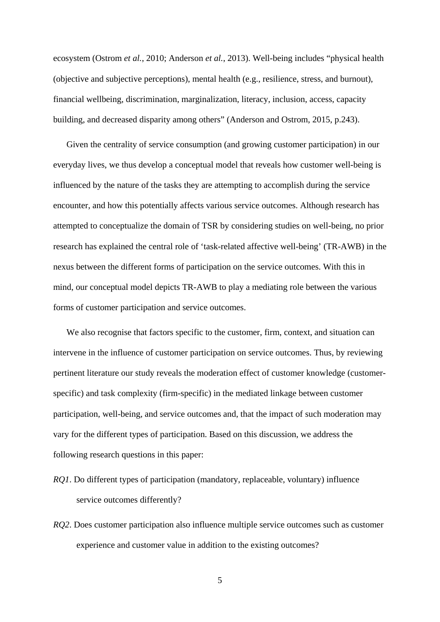ecosystem (Ostrom *et al.*, 2010; Anderson *et al.*, 2013). Well-being includes "physical health (objective and subjective perceptions), mental health (e.g., resilience, stress, and burnout), financial wellbeing, discrimination, marginalization, literacy, inclusion, access, capacity building, and decreased disparity among others" (Anderson and Ostrom, 2015, p.243).

Given the centrality of service consumption (and growing customer participation) in our everyday lives, we thus develop a conceptual model that reveals how customer well-being is influenced by the nature of the tasks they are attempting to accomplish during the service encounter, and how this potentially affects various service outcomes. Although research has attempted to conceptualize the domain of TSR by considering studies on well-being, no prior research has explained the central role of 'task-related affective well-being' (TR-AWB) in the nexus between the different forms of participation on the service outcomes. With this in mind, our conceptual model depicts TR-AWB to play a mediating role between the various forms of customer participation and service outcomes.

We also recognise that factors specific to the customer, firm, context, and situation can intervene in the influence of customer participation on service outcomes. Thus, by reviewing pertinent literature our study reveals the moderation effect of customer knowledge (customerspecific) and task complexity (firm-specific) in the mediated linkage between customer participation, well-being, and service outcomes and, that the impact of such moderation may vary for the different types of participation. Based on this discussion, we address the following research questions in this paper:

- *RQ1*. Do different types of participation (mandatory, replaceable, voluntary) influence service outcomes differently?
- *RQ2*. Does customer participation also influence multiple service outcomes such as customer experience and customer value in addition to the existing outcomes?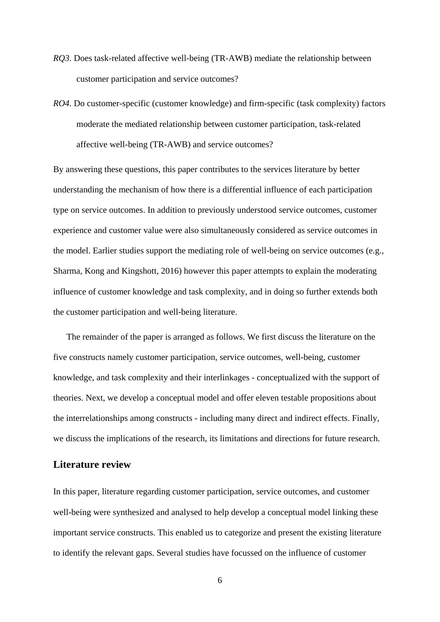- *RQ3*. Does task-related affective well-being (TR-AWB) mediate the relationship between customer participation and service outcomes?
- *RO4.* Do customer-specific (customer knowledge) and firm-specific (task complexity) factors moderate the mediated relationship between customer participation, task-related affective well-being (TR-AWB) and service outcomes?

By answering these questions, this paper contributes to the services literature by better understanding the mechanism of how there is a differential influence of each participation type on service outcomes. In addition to previously understood service outcomes, customer experience and customer value were also simultaneously considered as service outcomes in the model. Earlier studies support the mediating role of well-being on service outcomes (e.g., Sharma, Kong and Kingshott, 2016) however this paper attempts to explain the moderating influence of customer knowledge and task complexity, and in doing so further extends both the customer participation and well-being literature.

The remainder of the paper is arranged as follows. We first discuss the literature on the five constructs namely customer participation, service outcomes, well-being, customer knowledge, and task complexity and their interlinkages - conceptualized with the support of theories. Next, we develop a conceptual model and offer eleven testable propositions about the interrelationships among constructs - including many direct and indirect effects. Finally, we discuss the implications of the research, its limitations and directions for future research.

# **Literature review**

In this paper, literature regarding customer participation, service outcomes, and customer well-being were synthesized and analysed to help develop a conceptual model linking these important service constructs. This enabled us to categorize and present the existing literature to identify the relevant gaps. Several studies have focussed on the influence of customer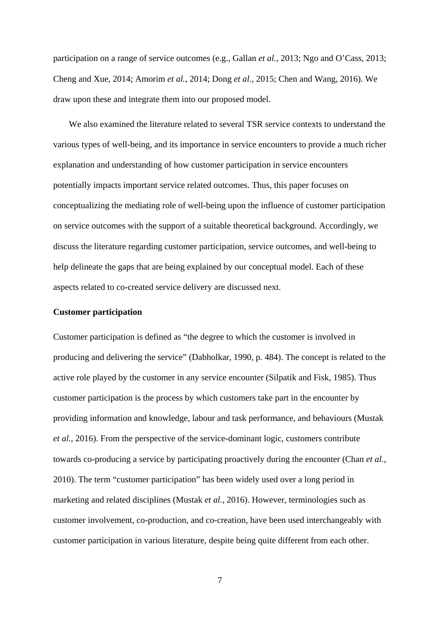participation on a range of service outcomes (e.g., Gallan *et al.*, 2013; Ngo and O'Cass, 2013; Cheng and Xue, 2014; Amorim *et al.*, 2014; Dong *et al.*, 2015; Chen and Wang, 2016). We draw upon these and integrate them into our proposed model.

We also examined the literature related to several TSR service contexts to understand the various types of well-being, and its importance in service encounters to provide a much richer explanation and understanding of how customer participation in service encounters potentially impacts important service related outcomes. Thus, this paper focuses on conceptualizing the mediating role of well-being upon the influence of customer participation on service outcomes with the support of a suitable theoretical background. Accordingly, we discuss the literature regarding customer participation, service outcomes, and well-being to help delineate the gaps that are being explained by our conceptual model. Each of these aspects related to co-created service delivery are discussed next.

#### **Customer participation**

Customer participation is defined as "the degree to which the customer is involved in producing and delivering the service" (Dabholkar, 1990, p. 484). The concept is related to the active role played by the customer in any service encounter (Silpatik and Fisk, 1985). Thus customer participation is the process by which customers take part in the encounter by providing information and knowledge, labour and task performance, and behaviours (Mustak *et al.*, 2016). From the perspective of the service-dominant logic, customers contribute towards co-producing a service by participating proactively during the encounter (Chan *et al.*, 2010). The term "customer participation" has been widely used over a long period in marketing and related disciplines (Mustak *et al.*, 2016). However, terminologies such as customer involvement, co-production, and co-creation, have been used interchangeably with customer participation in various literature, despite being quite different from each other.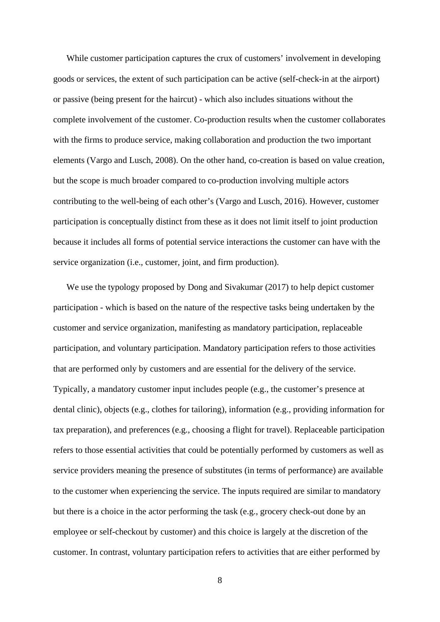While customer participation captures the crux of customers' involvement in developing goods or services, the extent of such participation can be active (self-check-in at the airport) or passive (being present for the haircut) - which also includes situations without the complete involvement of the customer. Co-production results when the customer collaborates with the firms to produce service, making collaboration and production the two important elements (Vargo and Lusch, 2008). On the other hand, co-creation is based on value creation, but the scope is much broader compared to co-production involving multiple actors contributing to the well-being of each other's (Vargo and Lusch, 2016). However, customer participation is conceptually distinct from these as it does not limit itself to joint production because it includes all forms of potential service interactions the customer can have with the service organization (i.e., customer, joint, and firm production).

We use the typology proposed by Dong and Sivakumar (2017) to help depict customer participation - which is based on the nature of the respective tasks being undertaken by the customer and service organization, manifesting as mandatory participation, replaceable participation, and voluntary participation. Mandatory participation refers to those activities that are performed only by customers and are essential for the delivery of the service. Typically, a mandatory customer input includes people (e.g., the customer's presence at dental clinic), objects (e.g., clothes for tailoring), information (e.g., providing information for tax preparation), and preferences (e.g., choosing a flight for travel). Replaceable participation refers to those essential activities that could be potentially performed by customers as well as service providers meaning the presence of substitutes (in terms of performance) are available to the customer when experiencing the service. The inputs required are similar to mandatory but there is a choice in the actor performing the task (e.g., grocery check-out done by an employee or self-checkout by customer) and this choice is largely at the discretion of the customer. In contrast, voluntary participation refers to activities that are either performed by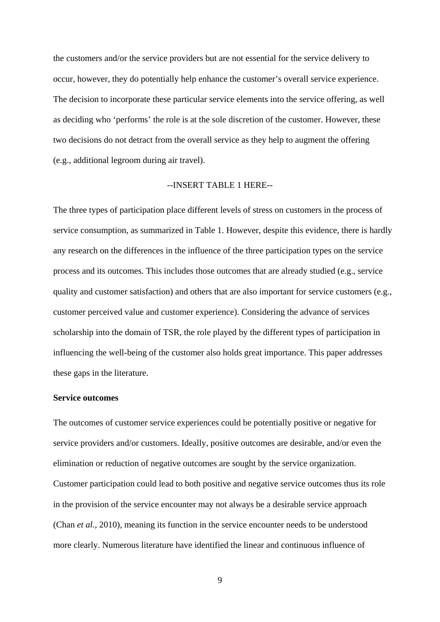the customers and/or the service providers but are not essential for the service delivery to occur, however, they do potentially help enhance the customer's overall service experience. The decision to incorporate these particular service elements into the service offering, as well as deciding who 'performs' the role is at the sole discretion of the customer. However, these two decisions do not detract from the overall service as they help to augment the offering (e.g., additional legroom during air travel).

## --INSERT TABLE 1 HERE--

The three types of participation place different levels of stress on customers in the process of service consumption, as summarized in Table 1. However, despite this evidence, there is hardly any research on the differences in the influence of the three participation types on the service process and its outcomes. This includes those outcomes that are already studied (e.g., service quality and customer satisfaction) and others that are also important for service customers (e.g., customer perceived value and customer experience). Considering the advance of services scholarship into the domain of TSR, the role played by the different types of participation in influencing the well-being of the customer also holds great importance. This paper addresses these gaps in the literature.

#### **Service outcomes**

The outcomes of customer service experiences could be potentially positive or negative for service providers and/or customers. Ideally, positive outcomes are desirable, and/or even the elimination or reduction of negative outcomes are sought by the service organization. Customer participation could lead to both positive and negative service outcomes thus its role in the provision of the service encounter may not always be a desirable service approach (Chan *et al.*, 2010), meaning its function in the service encounter needs to be understood more clearly. Numerous literature have identified the linear and continuous influence of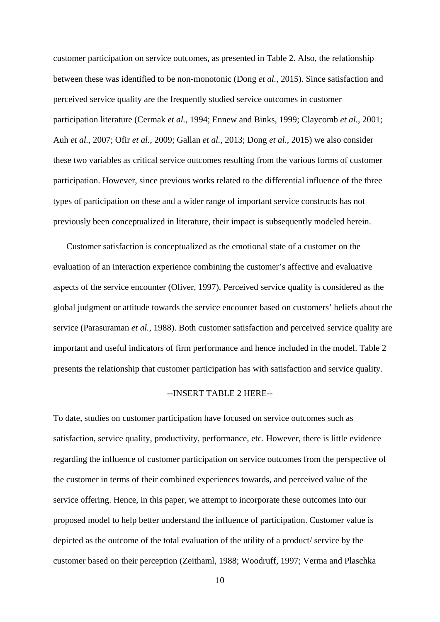customer participation on service outcomes, as presented in Table 2. Also, the relationship between these was identified to be non-monotonic (Dong *et al.*, 2015). Since satisfaction and perceived service quality are the frequently studied service outcomes in customer participation literature (Cermak *et al.*, 1994; Ennew and Binks, 1999; Claycomb *et al.*, 2001; Auh *et al.*, 2007; Ofir *et al.*, 2009; Gallan *et al.*, 2013; Dong *et al.*, 2015) we also consider these two variables as critical service outcomes resulting from the various forms of customer participation. However, since previous works related to the differential influence of the three types of participation on these and a wider range of important service constructs has not previously been conceptualized in literature, their impact is subsequently modeled herein.

Customer satisfaction is conceptualized as the emotional state of a customer on the evaluation of an interaction experience combining the customer's affective and evaluative aspects of the service encounter (Oliver, 1997). Perceived service quality is considered as the global judgment or attitude towards the service encounter based on customers' beliefs about the service (Parasuraman *et al.*, 1988). Both customer satisfaction and perceived service quality are important and useful indicators of firm performance and hence included in the model. Table 2 presents the relationship that customer participation has with satisfaction and service quality.

### --INSERT TABLE 2 HERE--

To date, studies on customer participation have focused on service outcomes such as satisfaction, service quality, productivity, performance, etc. However, there is little evidence regarding the influence of customer participation on service outcomes from the perspective of the customer in terms of their combined experiences towards, and perceived value of the service offering. Hence, in this paper, we attempt to incorporate these outcomes into our proposed model to help better understand the influence of participation. Customer value is depicted as the outcome of the total evaluation of the utility of a product/ service by the customer based on their perception (Zeithaml, 1988; Woodruff, 1997; Verma and Plaschka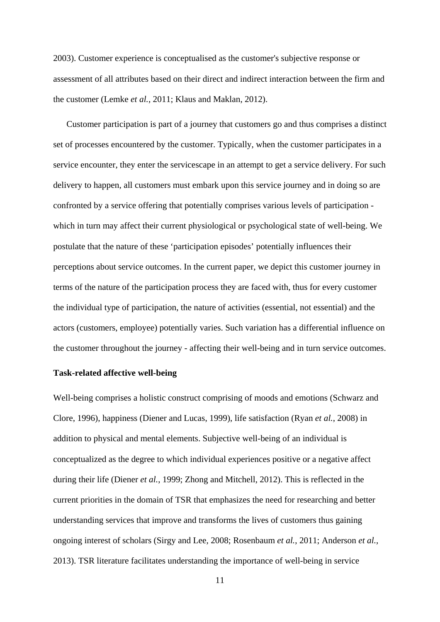2003). Customer experience is conceptualised as the customer's subjective response or assessment of all attributes based on their direct and indirect interaction between the firm and the customer (Lemke *et al.*, 2011; Klaus and Maklan, 2012).

Customer participation is part of a journey that customers go and thus comprises a distinct set of processes encountered by the customer. Typically, when the customer participates in a service encounter, they enter the servicescape in an attempt to get a service delivery. For such delivery to happen, all customers must embark upon this service journey and in doing so are confronted by a service offering that potentially comprises various levels of participation which in turn may affect their current physiological or psychological state of well-being. We postulate that the nature of these 'participation episodes' potentially influences their perceptions about service outcomes. In the current paper, we depict this customer journey in terms of the nature of the participation process they are faced with, thus for every customer the individual type of participation, the nature of activities (essential, not essential) and the actors (customers, employee) potentially varies. Such variation has a differential influence on the customer throughout the journey - affecting their well-being and in turn service outcomes.

#### **Task-related affective well-being**

Well-being comprises a holistic construct comprising of moods and emotions (Schwarz and Clore, 1996), happiness (Diener and Lucas, 1999), life satisfaction (Ryan *et al.*, 2008) in addition to physical and mental elements. Subjective well-being of an individual is conceptualized as the degree to which individual experiences positive or a negative affect during their life (Diener *et al.*, 1999; Zhong and Mitchell, 2012). This is reflected in the current priorities in the domain of TSR that emphasizes the need for researching and better understanding services that improve and transforms the lives of customers thus gaining ongoing interest of scholars (Sirgy and Lee, 2008; Rosenbaum *et al.*, 2011; Anderson *et al.*, 2013). TSR literature facilitates understanding the importance of well-being in service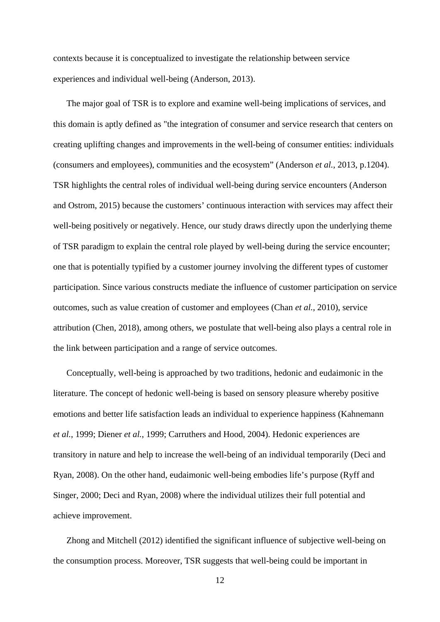contexts because it is conceptualized to investigate the relationship between service experiences and individual well-being (Anderson, 2013).

The major goal of TSR is to explore and examine well-being implications of services, and this domain is aptly defined as "the integration of consumer and service research that centers on creating uplifting changes and improvements in the well-being of consumer entities: individuals (consumers and employees), communities and the ecosystem" (Anderson *et al.*, 2013, p.1204). TSR highlights the central roles of individual well-being during service encounters (Anderson and Ostrom, 2015) because the customers' continuous interaction with services may affect their well-being positively or negatively. Hence, our study draws directly upon the underlying theme of TSR paradigm to explain the central role played by well-being during the service encounter; one that is potentially typified by a customer journey involving the different types of customer participation. Since various constructs mediate the influence of customer participation on service outcomes, such as value creation of customer and employees (Chan *et al.*, 2010), service attribution (Chen, 2018), among others, we postulate that well-being also plays a central role in the link between participation and a range of service outcomes.

Conceptually, well-being is approached by two traditions, hedonic and eudaimonic in the literature. The concept of hedonic well-being is based on sensory pleasure whereby positive emotions and better life satisfaction leads an individual to experience happiness (Kahnemann *et al.*, 1999; Diener *et al.*, 1999; Carruthers and Hood, 2004). Hedonic experiences are transitory in nature and help to increase the well-being of an individual temporarily (Deci and Ryan, 2008). On the other hand, eudaimonic well-being embodies life's purpose (Ryff and Singer, 2000; Deci and Ryan, 2008) where the individual utilizes their full potential and achieve improvement.

Zhong and Mitchell (2012) identified the significant influence of subjective well-being on the consumption process. Moreover, TSR suggests that well-being could be important in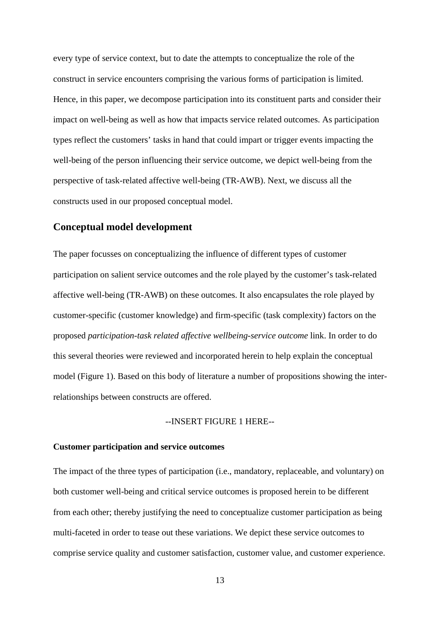every type of service context, but to date the attempts to conceptualize the role of the construct in service encounters comprising the various forms of participation is limited. Hence, in this paper, we decompose participation into its constituent parts and consider their impact on well-being as well as how that impacts service related outcomes. As participation types reflect the customers' tasks in hand that could impart or trigger events impacting the well-being of the person influencing their service outcome, we depict well-being from the perspective of task-related affective well-being (TR-AWB). Next, we discuss all the constructs used in our proposed conceptual model.

# **Conceptual model development**

The paper focusses on conceptualizing the influence of different types of customer participation on salient service outcomes and the role played by the customer's task-related affective well-being (TR-AWB) on these outcomes. It also encapsulates the role played by customer-specific (customer knowledge) and firm-specific (task complexity) factors on the proposed *participation-task related affective wellbeing-service outcome* link. In order to do this several theories were reviewed and incorporated herein to help explain the conceptual model (Figure 1). Based on this body of literature a number of propositions showing the interrelationships between constructs are offered.

#### --INSERT FIGURE 1 HERE--

#### **Customer participation and service outcomes**

The impact of the three types of participation (i.e., mandatory, replaceable, and voluntary) on both customer well-being and critical service outcomes is proposed herein to be different from each other; thereby justifying the need to conceptualize customer participation as being multi-faceted in order to tease out these variations. We depict these service outcomes to comprise service quality and customer satisfaction, customer value, and customer experience.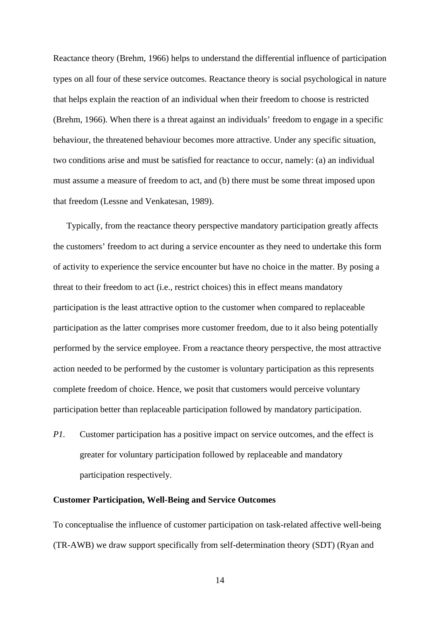Reactance theory (Brehm, 1966) helps to understand the differential influence of participation types on all four of these service outcomes. Reactance theory is social psychological in nature that helps explain the reaction of an individual when their freedom to choose is restricted (Brehm, 1966). When there is a threat against an individuals' freedom to engage in a specific behaviour, the threatened behaviour becomes more attractive. Under any specific situation, two conditions arise and must be satisfied for reactance to occur, namely: (a) an individual must assume a measure of freedom to act, and (b) there must be some threat imposed upon that freedom (Lessne and Venkatesan, 1989).

Typically, from the reactance theory perspective mandatory participation greatly affects the customers' freedom to act during a service encounter as they need to undertake this form of activity to experience the service encounter but have no choice in the matter. By posing a threat to their freedom to act (i.e., restrict choices) this in effect means mandatory participation is the least attractive option to the customer when compared to replaceable participation as the latter comprises more customer freedom, due to it also being potentially performed by the service employee. From a reactance theory perspective, the most attractive action needed to be performed by the customer is voluntary participation as this represents complete freedom of choice. Hence, we posit that customers would perceive voluntary participation better than replaceable participation followed by mandatory participation.

*P1.* Customer participation has a positive impact on service outcomes, and the effect is greater for voluntary participation followed by replaceable and mandatory participation respectively.

#### **Customer Participation, Well-Being and Service Outcomes**

To conceptualise the influence of customer participation on task-related affective well-being (TR-AWB) we draw support specifically from self-determination theory (SDT) (Ryan and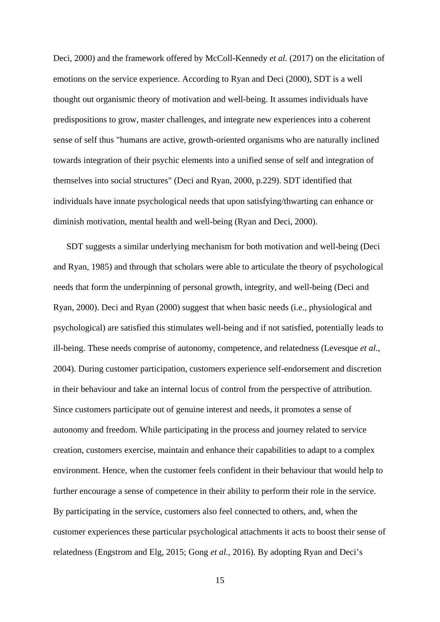Deci, 2000) and the framework offered by McColl-Kennedy *et al.* (2017) on the elicitation of emotions on the service experience. According to Ryan and Deci (2000), SDT is a well thought out organismic theory of motivation and well-being. It assumes individuals have predispositions to grow, master challenges, and integrate new experiences into a coherent sense of self thus "humans are active, growth-oriented organisms who are naturally inclined towards integration of their psychic elements into a unified sense of self and integration of themselves into social structures" (Deci and Ryan, 2000, p.229). SDT identified that individuals have innate psychological needs that upon satisfying/thwarting can enhance or diminish motivation, mental health and well-being (Ryan and Deci, 2000).

SDT suggests a similar underlying mechanism for both motivation and well-being (Deci and Ryan, 1985) and through that scholars were able to articulate the theory of psychological needs that form the underpinning of personal growth, integrity, and well-being (Deci and Ryan, 2000). Deci and Ryan (2000) suggest that when basic needs (i.e., physiological and psychological) are satisfied this stimulates well-being and if not satisfied, potentially leads to ill-being. These needs comprise of autonomy, competence, and relatedness (Levesque *et al.*, 2004). During customer participation, customers experience self-endorsement and discretion in their behaviour and take an internal locus of control from the perspective of attribution. Since customers participate out of genuine interest and needs, it promotes a sense of autonomy and freedom. While participating in the process and journey related to service creation, customers exercise, maintain and enhance their capabilities to adapt to a complex environment. Hence, when the customer feels confident in their behaviour that would help to further encourage a sense of competence in their ability to perform their role in the service. By participating in the service, customers also feel connected to others, and, when the customer experiences these particular psychological attachments it acts to boost their sense of relatedness (Engstrom and Elg, 2015; Gong *et al.*, 2016). By adopting Ryan and Deci's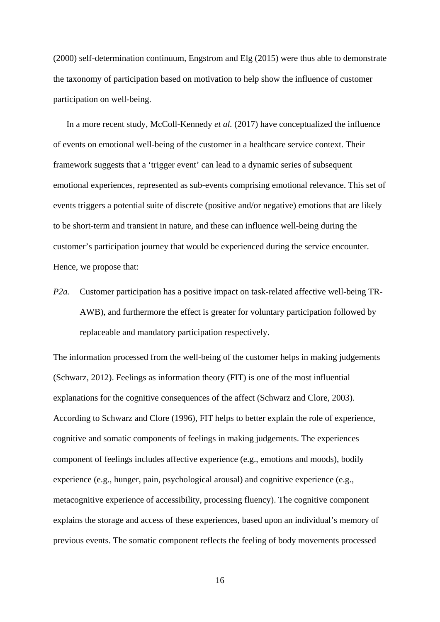(2000) self-determination continuum, Engstrom and Elg (2015) were thus able to demonstrate the taxonomy of participation based on motivation to help show the influence of customer participation on well-being.

In a more recent study, McColl-Kennedy *et al.* (2017) have conceptualized the influence of events on emotional well-being of the customer in a healthcare service context. Their framework suggests that a 'trigger event' can lead to a dynamic series of subsequent emotional experiences, represented as sub-events comprising emotional relevance. This set of events triggers a potential suite of discrete (positive and/or negative) emotions that are likely to be short-term and transient in nature, and these can influence well-being during the customer's participation journey that would be experienced during the service encounter. Hence, we propose that:

*P2a.* Customer participation has a positive impact on task-related affective well-being TR-AWB), and furthermore the effect is greater for voluntary participation followed by replaceable and mandatory participation respectively.

The information processed from the well-being of the customer helps in making judgements (Schwarz, 2012). Feelings as information theory (FIT) is one of the most influential explanations for the cognitive consequences of the affect (Schwarz and Clore, 2003). According to Schwarz and Clore (1996), FIT helps to better explain the role of experience, cognitive and somatic components of feelings in making judgements. The experiences component of feelings includes affective experience (e.g., emotions and moods), bodily experience (e.g., hunger, pain, psychological arousal) and cognitive experience (e.g., metacognitive experience of accessibility, processing fluency). The cognitive component explains the storage and access of these experiences, based upon an individual's memory of previous events. The somatic component reflects the feeling of body movements processed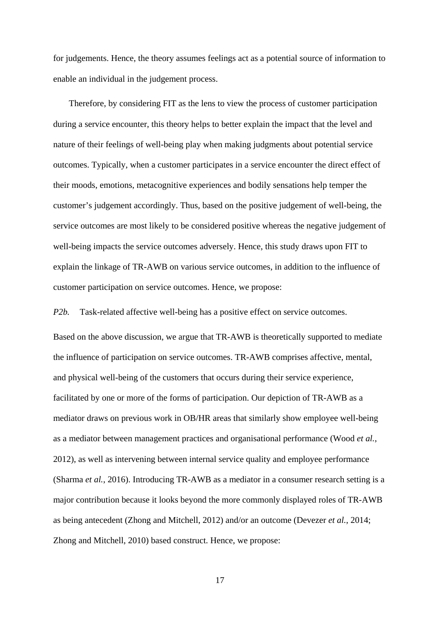for judgements. Hence, the theory assumes feelings act as a potential source of information to enable an individual in the judgement process.

Therefore, by considering FIT as the lens to view the process of customer participation during a service encounter, this theory helps to better explain the impact that the level and nature of their feelings of well-being play when making judgments about potential service outcomes. Typically, when a customer participates in a service encounter the direct effect of their moods, emotions, metacognitive experiences and bodily sensations help temper the customer's judgement accordingly. Thus, based on the positive judgement of well-being, the service outcomes are most likely to be considered positive whereas the negative judgement of well-being impacts the service outcomes adversely. Hence, this study draws upon FIT to explain the linkage of TR-AWB on various service outcomes, in addition to the influence of customer participation on service outcomes. Hence, we propose:

*P2b.* Task-related affective well-being has a positive effect on service outcomes.

Based on the above discussion, we argue that TR-AWB is theoretically supported to mediate the influence of participation on service outcomes. TR-AWB comprises affective, mental, and physical well-being of the customers that occurs during their service experience, facilitated by one or more of the forms of participation. Our depiction of TR-AWB as a mediator draws on previous work in OB/HR areas that similarly show employee well-being as a mediator between management practices and organisational performance (Wood *et al.*, 2012), as well as intervening between internal service quality and employee performance (Sharma *et al.*, 2016). Introducing TR-AWB as a mediator in a consumer research setting is a major contribution because it looks beyond the more commonly displayed roles of TR-AWB as being antecedent (Zhong and Mitchell, 2012) and/or an outcome (Devezer *et al.*, 2014; Zhong and Mitchell, 2010) based construct. Hence, we propose: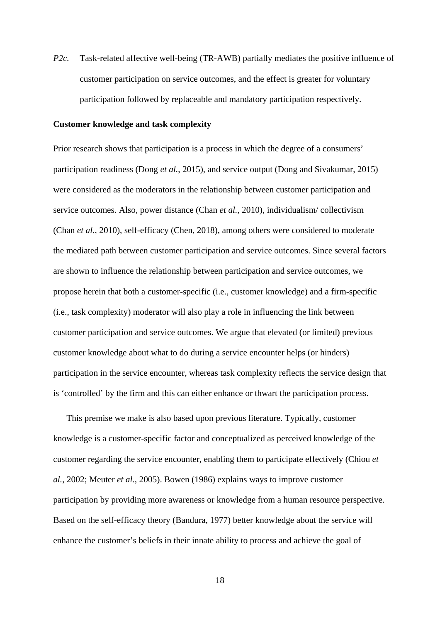*P2c.* Task-related affective well-being (TR-AWB) partially mediates the positive influence of customer participation on service outcomes, and the effect is greater for voluntary participation followed by replaceable and mandatory participation respectively.

#### **Customer knowledge and task complexity**

Prior research shows that participation is a process in which the degree of a consumers' participation readiness (Dong *et al.*, 2015), and service output (Dong and Sivakumar, 2015) were considered as the moderators in the relationship between customer participation and service outcomes. Also, power distance (Chan *et al.*, 2010), individualism/ collectivism (Chan *et al.*, 2010), self-efficacy (Chen, 2018), among others were considered to moderate the mediated path between customer participation and service outcomes. Since several factors are shown to influence the relationship between participation and service outcomes, we propose herein that both a customer-specific (i.e., customer knowledge) and a firm-specific (i.e., task complexity) moderator will also play a role in influencing the link between customer participation and service outcomes. We argue that elevated (or limited) previous customer knowledge about what to do during a service encounter helps (or hinders) participation in the service encounter, whereas task complexity reflects the service design that is 'controlled' by the firm and this can either enhance or thwart the participation process.

This premise we make is also based upon previous literature. Typically, customer knowledge is a customer-specific factor and conceptualized as perceived knowledge of the customer regarding the service encounter, enabling them to participate effectively (Chiou *et al.*, 2002; Meuter *et al.*, 2005). Bowen (1986) explains ways to improve customer participation by providing more awareness or knowledge from a human resource perspective. Based on the self-efficacy theory (Bandura, 1977) better knowledge about the service will enhance the customer's beliefs in their innate ability to process and achieve the goal of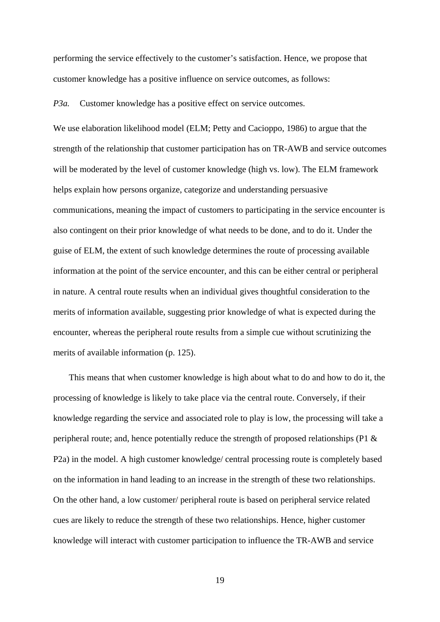performing the service effectively to the customer's satisfaction. Hence, we propose that customer knowledge has a positive influence on service outcomes, as follows:

*P3a.* Customer knowledge has a positive effect on service outcomes.

We use elaboration likelihood model (ELM; Petty and Cacioppo, 1986) to argue that the strength of the relationship that customer participation has on TR-AWB and service outcomes will be moderated by the level of customer knowledge (high vs. low). The ELM framework helps explain how persons organize, categorize and understanding persuasive communications, meaning the impact of customers to participating in the service encounter is also contingent on their prior knowledge of what needs to be done, and to do it. Under the guise of ELM, the extent of such knowledge determines the route of processing available information at the point of the service encounter, and this can be either central or peripheral in nature. A central route results when an individual gives thoughtful consideration to the merits of information available, suggesting prior knowledge of what is expected during the encounter, whereas the peripheral route results from a simple cue without scrutinizing the merits of available information (p. 125).

This means that when customer knowledge is high about what to do and how to do it, the processing of knowledge is likely to take place via the central route. Conversely, if their knowledge regarding the service and associated role to play is low, the processing will take a peripheral route; and, hence potentially reduce the strength of proposed relationships (P1 & P2a) in the model. A high customer knowledge/ central processing route is completely based on the information in hand leading to an increase in the strength of these two relationships. On the other hand, a low customer/ peripheral route is based on peripheral service related cues are likely to reduce the strength of these two relationships. Hence, higher customer knowledge will interact with customer participation to influence the TR-AWB and service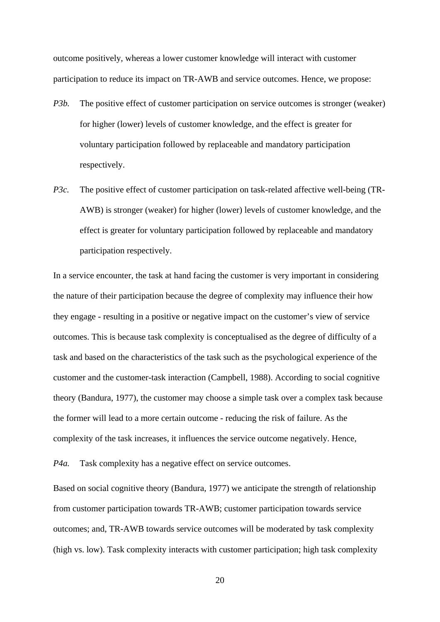outcome positively, whereas a lower customer knowledge will interact with customer participation to reduce its impact on TR-AWB and service outcomes. Hence, we propose:

- *P3b.* The positive effect of customer participation on service outcomes is stronger (weaker) for higher (lower) levels of customer knowledge, and the effect is greater for voluntary participation followed by replaceable and mandatory participation respectively.
- *P3c.* The positive effect of customer participation on task-related affective well-being (TR-AWB) is stronger (weaker) for higher (lower) levels of customer knowledge, and the effect is greater for voluntary participation followed by replaceable and mandatory participation respectively.

In a service encounter, the task at hand facing the customer is very important in considering the nature of their participation because the degree of complexity may influence their how they engage - resulting in a positive or negative impact on the customer's view of service outcomes. This is because task complexity is conceptualised as the degree of difficulty of a task and based on the characteristics of the task such as the psychological experience of the customer and the customer-task interaction (Campbell, 1988). According to social cognitive theory (Bandura, 1977), the customer may choose a simple task over a complex task because the former will lead to a more certain outcome - reducing the risk of failure. As the complexity of the task increases, it influences the service outcome negatively. Hence,

*P4a.* Task complexity has a negative effect on service outcomes.

Based on social cognitive theory (Bandura, 1977) we anticipate the strength of relationship from customer participation towards TR-AWB; customer participation towards service outcomes; and, TR-AWB towards service outcomes will be moderated by task complexity (high vs. low). Task complexity interacts with customer participation; high task complexity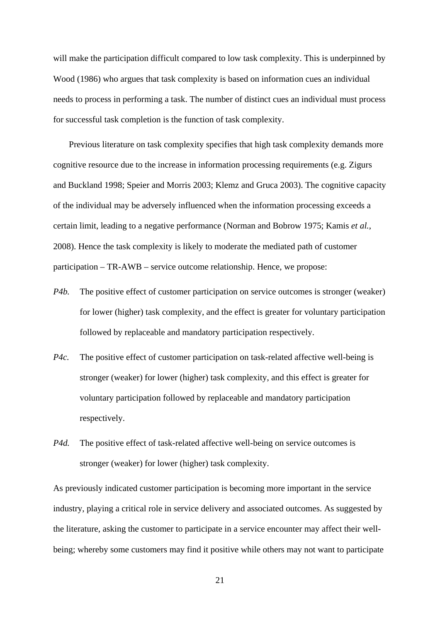will make the participation difficult compared to low task complexity. This is underpinned by Wood (1986) who argues that task complexity is based on information cues an individual needs to process in performing a task. The number of distinct cues an individual must process for successful task completion is the function of task complexity.

Previous literature on task complexity specifies that high task complexity demands more cognitive resource due to the increase in information processing requirements (e.g. Zigurs and Buckland 1998; Speier and Morris 2003; Klemz and Gruca 2003). The cognitive capacity of the individual may be adversely influenced when the information processing exceeds a certain limit, leading to a negative performance (Norman and Bobrow 1975; Kamis *et al.*, 2008). Hence the task complexity is likely to moderate the mediated path of customer participation – TR-AWB – service outcome relationship. Hence, we propose:

- *P4b.* The positive effect of customer participation on service outcomes is stronger (weaker) for lower (higher) task complexity, and the effect is greater for voluntary participation followed by replaceable and mandatory participation respectively.
- *P4c.* The positive effect of customer participation on task-related affective well-being is stronger (weaker) for lower (higher) task complexity, and this effect is greater for voluntary participation followed by replaceable and mandatory participation respectively.
- *P4d.* The positive effect of task-related affective well-being on service outcomes is stronger (weaker) for lower (higher) task complexity.

As previously indicated customer participation is becoming more important in the service industry, playing a critical role in service delivery and associated outcomes. As suggested by the literature, asking the customer to participate in a service encounter may affect their wellbeing; whereby some customers may find it positive while others may not want to participate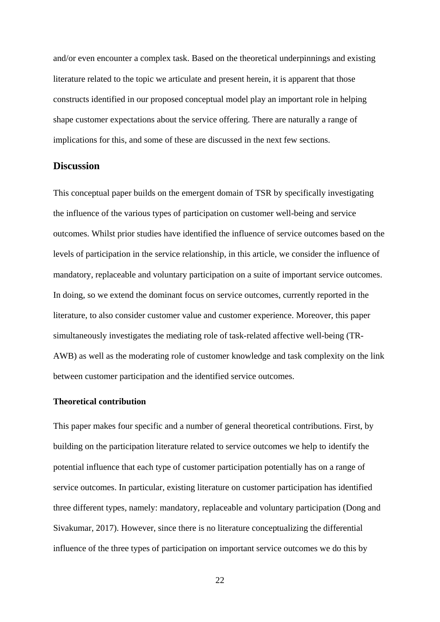and/or even encounter a complex task. Based on the theoretical underpinnings and existing literature related to the topic we articulate and present herein, it is apparent that those constructs identified in our proposed conceptual model play an important role in helping shape customer expectations about the service offering. There are naturally a range of implications for this, and some of these are discussed in the next few sections.

## **Discussion**

This conceptual paper builds on the emergent domain of TSR by specifically investigating the influence of the various types of participation on customer well-being and service outcomes. Whilst prior studies have identified the influence of service outcomes based on the levels of participation in the service relationship, in this article, we consider the influence of mandatory, replaceable and voluntary participation on a suite of important service outcomes. In doing, so we extend the dominant focus on service outcomes, currently reported in the literature, to also consider customer value and customer experience. Moreover, this paper simultaneously investigates the mediating role of task-related affective well-being (TR-AWB) as well as the moderating role of customer knowledge and task complexity on the link between customer participation and the identified service outcomes.

#### **Theoretical contribution**

This paper makes four specific and a number of general theoretical contributions. First, by building on the participation literature related to service outcomes we help to identify the potential influence that each type of customer participation potentially has on a range of service outcomes. In particular, existing literature on customer participation has identified three different types, namely: mandatory, replaceable and voluntary participation (Dong and Sivakumar, 2017). However, since there is no literature conceptualizing the differential influence of the three types of participation on important service outcomes we do this by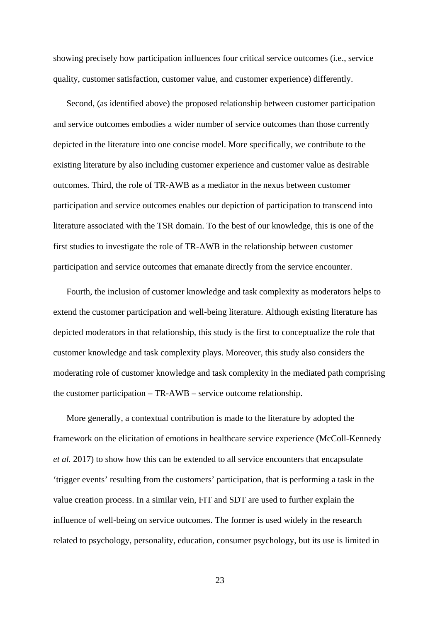showing precisely how participation influences four critical service outcomes (i.e., service quality, customer satisfaction, customer value, and customer experience) differently.

Second, (as identified above) the proposed relationship between customer participation and service outcomes embodies a wider number of service outcomes than those currently depicted in the literature into one concise model. More specifically, we contribute to the existing literature by also including customer experience and customer value as desirable outcomes. Third, the role of TR-AWB as a mediator in the nexus between customer participation and service outcomes enables our depiction of participation to transcend into literature associated with the TSR domain. To the best of our knowledge, this is one of the first studies to investigate the role of TR-AWB in the relationship between customer participation and service outcomes that emanate directly from the service encounter.

Fourth, the inclusion of customer knowledge and task complexity as moderators helps to extend the customer participation and well-being literature. Although existing literature has depicted moderators in that relationship, this study is the first to conceptualize the role that customer knowledge and task complexity plays. Moreover, this study also considers the moderating role of customer knowledge and task complexity in the mediated path comprising the customer participation – TR-AWB – service outcome relationship.

More generally, a contextual contribution is made to the literature by adopted the framework on the elicitation of emotions in healthcare service experience (McColl-Kennedy *et al.* 2017) to show how this can be extended to all service encounters that encapsulate 'trigger events' resulting from the customers' participation, that is performing a task in the value creation process. In a similar vein, FIT and SDT are used to further explain the influence of well-being on service outcomes. The former is used widely in the research related to psychology, personality, education, consumer psychology, but its use is limited in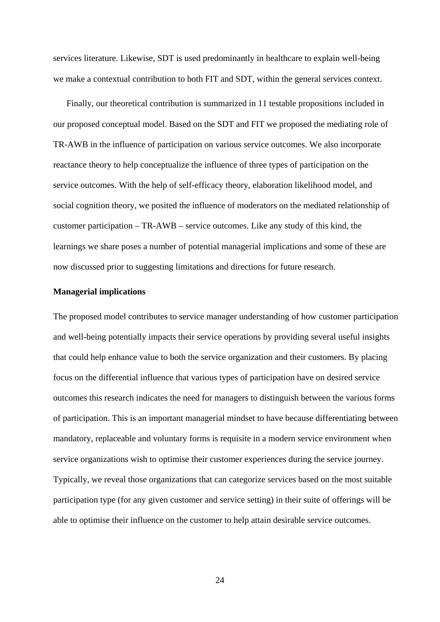services literature. Likewise, SDT is used predominantly in healthcare to explain well-being we make a contextual contribution to both FIT and SDT, within the general services context.

Finally, our theoretical contribution is summarized in 11 testable propositions included in our proposed conceptual model. Based on the SDT and FIT we proposed the mediating role of TR-AWB in the influence of participation on various service outcomes. We also incorporate reactance theory to help conceptualize the influence of three types of participation on the service outcomes. With the help of self-efficacy theory, elaboration likelihood model, and social cognition theory, we posited the influence of moderators on the mediated relationship of customer participation – TR-AWB – service outcomes. Like any study of this kind, the learnings we share poses a number of potential managerial implications and some of these are now discussed prior to suggesting limitations and directions for future research.

#### **Managerial implications**

The proposed model contributes to service manager understanding of how customer participation and well-being potentially impacts their service operations by providing several useful insights that could help enhance value to both the service organization and their customers. By placing focus on the differential influence that various types of participation have on desired service outcomes this research indicates the need for managers to distinguish between the various forms of participation. This is an important managerial mindset to have because differentiating between mandatory, replaceable and voluntary forms is requisite in a modern service environment when service organizations wish to optimise their customer experiences during the service journey. Typically, we reveal those organizations that can categorize services based on the most suitable participation type (for any given customer and service setting) in their suite of offerings will be able to optimise their influence on the customer to help attain desirable service outcomes.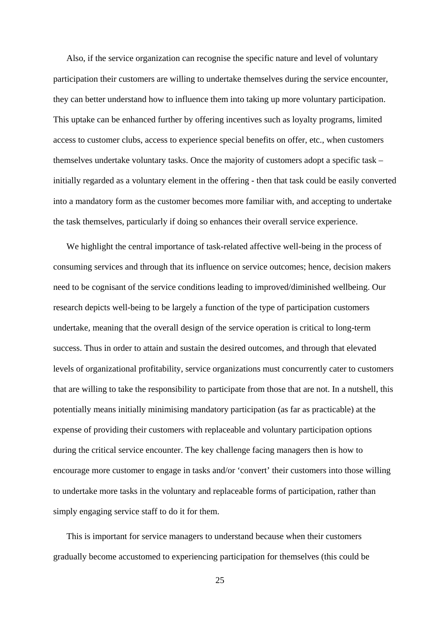Also, if the service organization can recognise the specific nature and level of voluntary participation their customers are willing to undertake themselves during the service encounter, they can better understand how to influence them into taking up more voluntary participation. This uptake can be enhanced further by offering incentives such as loyalty programs, limited access to customer clubs, access to experience special benefits on offer, etc., when customers themselves undertake voluntary tasks. Once the majority of customers adopt a specific task – initially regarded as a voluntary element in the offering - then that task could be easily converted into a mandatory form as the customer becomes more familiar with, and accepting to undertake the task themselves, particularly if doing so enhances their overall service experience.

We highlight the central importance of task-related affective well-being in the process of consuming services and through that its influence on service outcomes; hence, decision makers need to be cognisant of the service conditions leading to improved/diminished wellbeing. Our research depicts well-being to be largely a function of the type of participation customers undertake, meaning that the overall design of the service operation is critical to long-term success. Thus in order to attain and sustain the desired outcomes, and through that elevated levels of organizational profitability, service organizations must concurrently cater to customers that are willing to take the responsibility to participate from those that are not. In a nutshell, this potentially means initially minimising mandatory participation (as far as practicable) at the expense of providing their customers with replaceable and voluntary participation options during the critical service encounter. The key challenge facing managers then is how to encourage more customer to engage in tasks and/or 'convert' their customers into those willing to undertake more tasks in the voluntary and replaceable forms of participation, rather than simply engaging service staff to do it for them.

This is important for service managers to understand because when their customers gradually become accustomed to experiencing participation for themselves (this could be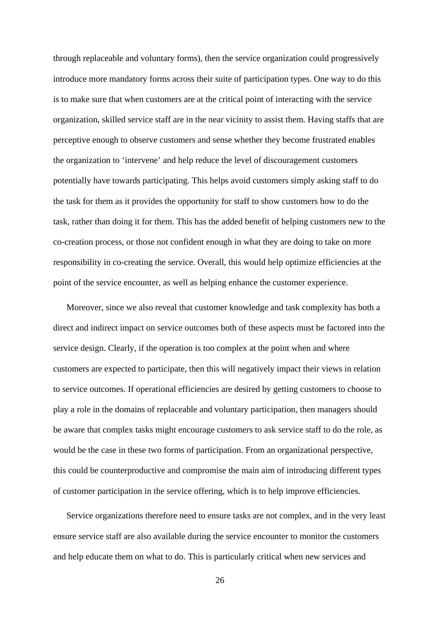through replaceable and voluntary forms), then the service organization could progressively introduce more mandatory forms across their suite of participation types. One way to do this is to make sure that when customers are at the critical point of interacting with the service organization, skilled service staff are in the near vicinity to assist them. Having staffs that are perceptive enough to observe customers and sense whether they become frustrated enables the organization to 'intervene' and help reduce the level of discouragement customers potentially have towards participating. This helps avoid customers simply asking staff to do the task for them as it provides the opportunity for staff to show customers how to do the task, rather than doing it for them. This has the added benefit of helping customers new to the co-creation process, or those not confident enough in what they are doing to take on more responsibility in co-creating the service. Overall, this would help optimize efficiencies at the point of the service encounter, as well as helping enhance the customer experience.

Moreover, since we also reveal that customer knowledge and task complexity has both a direct and indirect impact on service outcomes both of these aspects must be factored into the service design. Clearly, if the operation is too complex at the point when and where customers are expected to participate, then this will negatively impact their views in relation to service outcomes. If operational efficiencies are desired by getting customers to choose to play a role in the domains of replaceable and voluntary participation, then managers should be aware that complex tasks might encourage customers to ask service staff to do the role, as would be the case in these two forms of participation. From an organizational perspective, this could be counterproductive and compromise the main aim of introducing different types of customer participation in the service offering, which is to help improve efficiencies.

Service organizations therefore need to ensure tasks are not complex, and in the very least ensure service staff are also available during the service encounter to monitor the customers and help educate them on what to do. This is particularly critical when new services and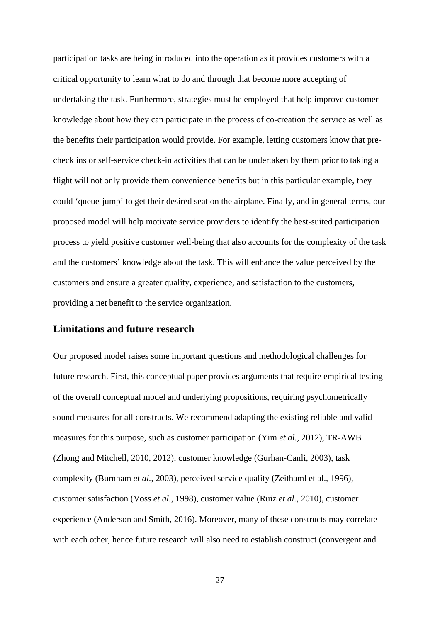participation tasks are being introduced into the operation as it provides customers with a critical opportunity to learn what to do and through that become more accepting of undertaking the task. Furthermore, strategies must be employed that help improve customer knowledge about how they can participate in the process of co-creation the service as well as the benefits their participation would provide. For example, letting customers know that precheck ins or self-service check-in activities that can be undertaken by them prior to taking a flight will not only provide them convenience benefits but in this particular example, they could 'queue-jump' to get their desired seat on the airplane. Finally, and in general terms, our proposed model will help motivate service providers to identify the best-suited participation process to yield positive customer well-being that also accounts for the complexity of the task and the customers' knowledge about the task. This will enhance the value perceived by the customers and ensure a greater quality, experience, and satisfaction to the customers, providing a net benefit to the service organization.

## **Limitations and future research**

Our proposed model raises some important questions and methodological challenges for future research. First, this conceptual paper provides arguments that require empirical testing of the overall conceptual model and underlying propositions, requiring psychometrically sound measures for all constructs. We recommend adapting the existing reliable and valid measures for this purpose, such as customer participation (Yim *et al.*, 2012), TR-AWB (Zhong and Mitchell, 2010, 2012), customer knowledge (Gurhan-Canli, 2003), task complexity (Burnham *et al.*, 2003), perceived service quality (Zeithaml et al., 1996), customer satisfaction (Voss *et al.*, 1998), customer value (Ruiz *et al.*, 2010), customer experience (Anderson and Smith, 2016). Moreover, many of these constructs may correlate with each other, hence future research will also need to establish construct (convergent and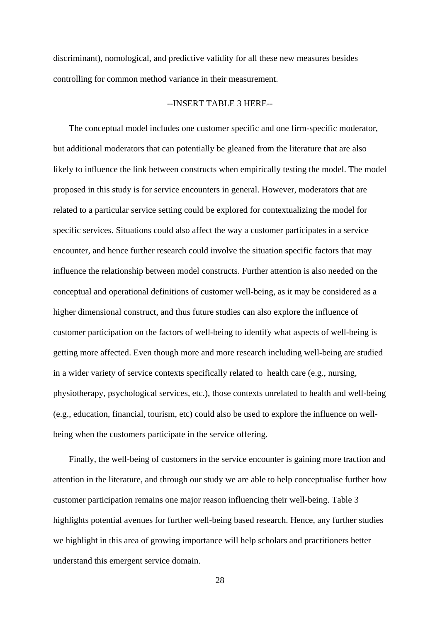discriminant), nomological, and predictive validity for all these new measures besides controlling for common method variance in their measurement.

### --INSERT TABLE 3 HERE--

The conceptual model includes one customer specific and one firm-specific moderator, but additional moderators that can potentially be gleaned from the literature that are also likely to influence the link between constructs when empirically testing the model. The model proposed in this study is for service encounters in general. However, moderators that are related to a particular service setting could be explored for contextualizing the model for specific services. Situations could also affect the way a customer participates in a service encounter, and hence further research could involve the situation specific factors that may influence the relationship between model constructs. Further attention is also needed on the conceptual and operational definitions of customer well-being, as it may be considered as a higher dimensional construct, and thus future studies can also explore the influence of customer participation on the factors of well-being to identify what aspects of well-being is getting more affected. Even though more and more research including well-being are studied in a wider variety of service contexts specifically related to health care (e.g., nursing, physiotherapy, psychological services, etc.), those contexts unrelated to health and well-being (e.g., education, financial, tourism, etc) could also be used to explore the influence on wellbeing when the customers participate in the service offering.

Finally, the well-being of customers in the service encounter is gaining more traction and attention in the literature, and through our study we are able to help conceptualise further how customer participation remains one major reason influencing their well-being. Table 3 highlights potential avenues for further well-being based research. Hence, any further studies we highlight in this area of growing importance will help scholars and practitioners better understand this emergent service domain.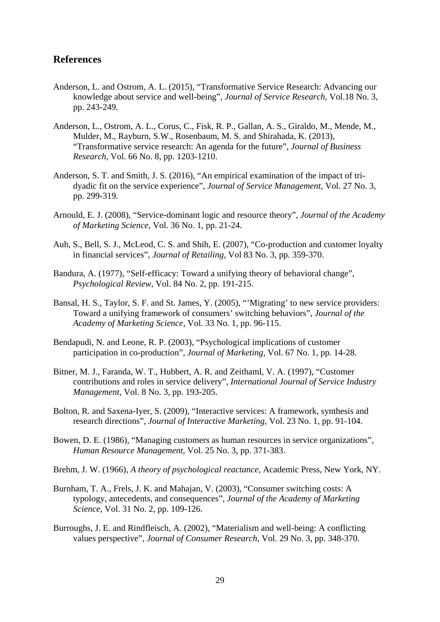# **References**

- Anderson, L. and Ostrom, A. L. (2015), "Transformative Service Research: Advancing our knowledge about service and well-being", *Journal of Service Research*, Vol.18 No. 3, pp. 243-249.
- Anderson, L., Ostrom, A. L., Corus, C., Fisk, R. P., Gallan, A. S., Giraldo, M., Mende, M., Mulder, M., Rayburn, S.W., Rosenbaum, M. S. and Shirahada, K. (2013), "Transformative service research: An agenda for the future", *Journal of Business Research*, Vol. 66 No. 8, pp. 1203-1210.
- Anderson, S. T. and Smith, J. S. (2016), "An empirical examination of the impact of tridyadic fit on the service experience", *Journal of Service Management*, Vol. 27 No. 3, pp. 299-319.
- Arnould, E. J. (2008), "Service-dominant logic and resource theory", *Journal of the Academy of Marketing Science*, Vol. 36 No. 1, pp. 21-24.
- Auh, S., Bell, S. J., McLeod, C. S. and Shih, E. (2007), "Co-production and customer loyalty in financial services", *Journal of Retailing*, Vol 83 No. 3, pp. 359-370.
- Bandura, A. (1977), "Self-efficacy: Toward a unifying theory of behavioral change", *Psychological Review*, Vol. 84 No. 2, pp. 191-215.
- Bansal, H. S., Taylor, S. F. and St. James, Y. (2005), "'Migrating' to new service providers: Toward a unifying framework of consumers' switching behaviors", *Journal of the Academy of Marketing Science*, Vol. 33 No. 1, pp. 96-115.
- Bendapudi, N. and Leone, R. P. (2003), "Psychological implications of customer participation in co-production", *Journal of Marketing*, Vol. 67 No. 1, pp. 14-28.
- Bitner, M. J., Faranda, W. T., Hubbert, A. R. and Zeithaml, V. A. (1997), "Customer contributions and roles in service delivery", *International Journal of Service Industry Management*, Vol. 8 No. 3, pp. 193-205.
- Bolton, R. and Saxena-Iyer, S. (2009), "Interactive services: A framework, synthesis and research directions", *Journal of Interactive Marketing*, Vol. 23 No. 1, pp. 91-104.
- Bowen, D. E. (1986), "Managing customers as human resources in service organizations", *Human Resource Management*, Vol. 25 No. 3, pp. 371-383.
- Brehm, J. W. (1966), *A theory of psychological reactance*, Academic Press, New York, NY.
- Burnham, T. A., Frels, J. K. and Mahajan, V. (2003), "Consumer switching costs: A typology, antecedents, and consequences", *Journal of the Academy of Marketing Science*, Vol. 31 No. 2, pp. 109-126.
- Burroughs, J. E. and Rindfleisch, A. (2002), "Materialism and well-being: A conflicting values perspective", *Journal of Consumer Research*, Vol. 29 No. 3, pp. 348-370.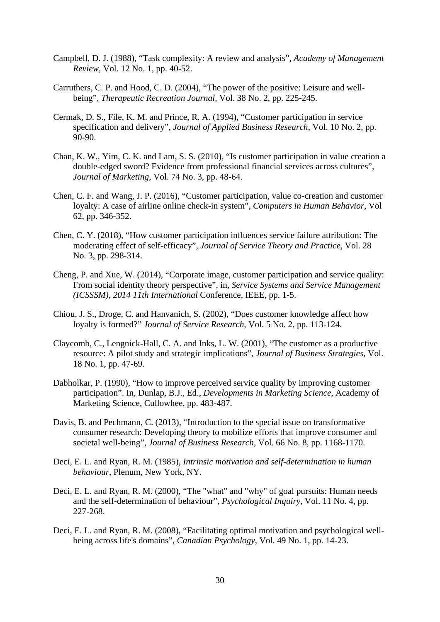- Campbell, D. J. (1988), "Task complexity: A review and analysis", *Academy of Management Review*, Vol. 12 No. 1, pp. 40-52.
- Carruthers, C. P. and Hood, C. D. (2004), "The power of the positive: Leisure and wellbeing", *Therapeutic Recreation Journal*, Vol. 38 No. 2, pp. 225-245.
- Cermak, D. S., File, K. M. and Prince, R. A. (1994), "Customer participation in service specification and delivery", *Journal of Applied Business Research*, Vol. 10 No. 2, pp. 90-90.
- Chan, K. W., Yim, C. K. and Lam, S. S. (2010), "Is customer participation in value creation a double-edged sword? Evidence from professional financial services across cultures", *Journal of Marketing*, Vol. 74 No. 3, pp. 48-64.
- Chen, C. F. and Wang, J. P. (2016), "Customer participation, value co-creation and customer loyalty: A case of airline online check-in system", *Computers in Human Behavior*, Vol 62, pp. 346-352.
- Chen, C. Y. (2018), "How customer participation influences service failure attribution: The moderating effect of self-efficacy", *Journal of Service Theory and Practice*, Vol. 28 No. 3, pp. 298-314.
- Cheng, P. and Xue, W. (2014), "Corporate image, customer participation and service quality: From social identity theory perspective", in, *Service Systems and Service Management (ICSSSM), 2014 11th International* Conference, IEEE, pp. 1-5.
- Chiou, J. S., Droge, C. and Hanvanich, S. (2002), "Does customer knowledge affect how loyalty is formed?" *Journal of Service Research*, Vol. 5 No. 2, pp. 113-124.
- Claycomb, C., Lengnick-Hall, C. A. and Inks, L. W. (2001), "The customer as a productive resource: A pilot study and strategic implications", *Journal of Business Strategies*, Vol. 18 No. 1, pp. 47-69.
- Dabholkar, P. (1990), "How to improve perceived service quality by improving customer participation". In, Dunlap, B.J., Ed., *Developments in Marketing Science*, Academy of Marketing Science, Cullowhee, pp. 483-487.
- Davis, B. and Pechmann, C. (2013), "Introduction to the special issue on transformative consumer research: Developing theory to mobilize efforts that improve consumer and societal well-being", *Journal of Business Research*, Vol. 66 No. 8, pp. 1168-1170.
- Deci, E. L. and Ryan, R. M. (1985), *Intrinsic motivation and self-determination in human behaviour*, Plenum, New York, NY.
- Deci, E. L. and Ryan, R. M. (2000), "The "what" and "why" of goal pursuits: Human needs and the self-determination of behaviour", *Psychological Inquiry*, Vol. 11 No. 4, pp. 227-268.
- Deci, E. L. and Ryan, R. M. (2008), "Facilitating optimal motivation and psychological wellbeing across life's domains", *Canadian Psychology*, Vol. 49 No. 1, pp. 14-23.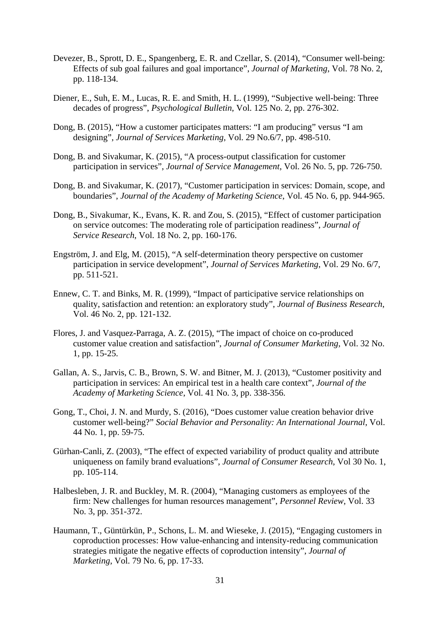- Devezer, B., Sprott, D. E., Spangenberg, E. R. and Czellar, S. (2014), "Consumer well-being: Effects of sub goal failures and goal importance", *Journal of Marketing*, Vol. 78 No. 2, pp. 118-134.
- Diener, E., Suh, E. M., Lucas, R. E. and Smith, H. L. (1999), "Subjective well-being: Three decades of progress", *Psychological Bulletin*, Vol. 125 No. 2, pp. 276-302.
- Dong, B. (2015), "How a customer participates matters: "I am producing" versus "I am designing", *Journal of Services Marketing*, Vol. 29 No.6/7, pp. 498-510.
- Dong, B. and Sivakumar, K. (2015), "A process-output classification for customer participation in services", *Journal of Service Management*, Vol. 26 No. 5, pp. 726-750.
- Dong, B. and Sivakumar, K. (2017), "Customer participation in services: Domain, scope, and boundaries", *Journal of the Academy of Marketing Science*, Vol. 45 No. 6, pp. 944-965.
- Dong, B., Sivakumar, K., Evans, K. R. and Zou, S. (2015), "Effect of customer participation on service outcomes: The moderating role of participation readiness", *Journal of Service Research*, Vol. 18 No. 2, pp. 160-176.
- Engström, J. and Elg, M. (2015), "A self-determination theory perspective on customer participation in service development", *Journal of Services Marketing*, Vol. 29 No. 6/7, pp. 511-521.
- Ennew, C. T. and Binks, M. R. (1999), "Impact of participative service relationships on quality, satisfaction and retention: an exploratory study", *Journal of Business Research*, Vol. 46 No. 2, pp. 121-132.
- Flores, J. and Vasquez-Parraga, A. Z. (2015), "The impact of choice on co-produced customer value creation and satisfaction", *Journal of Consumer Marketing*, Vol. 32 No. 1, pp. 15-25.
- Gallan, A. S., Jarvis, C. B., Brown, S. W. and Bitner, M. J. (2013), "Customer positivity and participation in services: An empirical test in a health care context", *Journal of the Academy of Marketing Science*, Vol. 41 No. 3, pp. 338-356.
- Gong, T., Choi, J. N. and Murdy, S. (2016), "Does customer value creation behavior drive customer well-being?" *Social Behavior and Personality: An International Journal*, Vol. 44 No. 1, pp. 59-75.
- Gürhan-Canli, Z. (2003), "The effect of expected variability of product quality and attribute uniqueness on family brand evaluations", *Journal of Consumer Research*, Vol 30 No. 1, pp. 105-114.
- Halbesleben, J. R. and Buckley, M. R. (2004), "Managing customers as employees of the firm: New challenges for human resources management", *Personnel Review*, Vol. 33 No. 3, pp. 351-372.
- Haumann, T., Güntürkün, P., Schons, L. M. and Wieseke, J. (2015), "Engaging customers in coproduction processes: How value-enhancing and intensity-reducing communication strategies mitigate the negative effects of coproduction intensity", *Journal of Marketing*, Vol. 79 No. 6, pp. 17-33.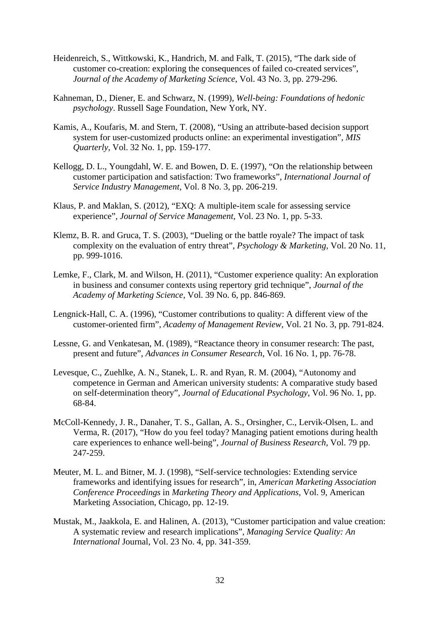- Heidenreich, S., Wittkowski, K., Handrich, M. and Falk, T. (2015), "The dark side of customer co-creation: exploring the consequences of failed co-created services", *Journal of the Academy of Marketing Science*, Vol. 43 No. 3, pp. 279-296.
- Kahneman, D., Diener, E. and Schwarz, N. (1999), *Well-being: Foundations of hedonic psychology*. Russell Sage Foundation, New York, NY.
- Kamis, A., Koufaris, M. and Stern, T. (2008), "Using an attribute-based decision support system for user-customized products online: an experimental investigation", *MIS Quarterly*, Vol. 32 No. 1, pp. 159-177.
- Kellogg, D. L., Youngdahl, W. E. and Bowen, D. E. (1997), "On the relationship between customer participation and satisfaction: Two frameworks", *International Journal of Service Industry Management*, Vol. 8 No. 3, pp. 206-219.
- Klaus, P. and Maklan, S. (2012), "EXQ: A multiple-item scale for assessing service experience", *Journal of Service Management*, Vol. 23 No. 1, pp. 5-33.
- Klemz, B. R. and Gruca, T. S. (2003), "Dueling or the battle royale? The impact of task complexity on the evaluation of entry threat", *Psychology & Marketing*, Vol. 20 No. 11, pp. 999-1016.
- Lemke, F., Clark, M. and Wilson, H. (2011), "Customer experience quality: An exploration in business and consumer contexts using repertory grid technique", *Journal of the Academy of Marketing Science*, Vol. 39 No. 6, pp. 846-869.
- Lengnick-Hall, C. A. (1996), "Customer contributions to quality: A different view of the customer-oriented firm", *Academy of Management Review*, Vol. 21 No. 3, pp. 791-824.
- Lessne, G. and Venkatesan, M. (1989), "Reactance theory in consumer research: The past, present and future", *Advances in Consumer Research*, Vol. 16 No. 1, pp. 76-78.
- Levesque, C., Zuehlke, A. N., Stanek, L. R. and Ryan, R. M. (2004), "Autonomy and competence in German and American university students: A comparative study based on self-determination theory", *Journal of Educational Psychology*, Vol. 96 No. 1, pp. 68-84.
- McColl-Kennedy, J. R., Danaher, T. S., Gallan, A. S., Orsingher, C., Lervik-Olsen, L. and Verma, R. (2017), "How do you feel today? Managing patient emotions during health care experiences to enhance well-being", *Journal of Business Research*, Vol. 79 pp. 247-259.
- Meuter, M. L. and Bitner, M. J. (1998), "Self-service technologies: Extending service frameworks and identifying issues for research", in, *American Marketing Association Conference Proceedings* in *Marketing Theory and Applications*, Vol. 9, American Marketing Association, Chicago, pp. 12-19.
- Mustak, M., Jaakkola, E. and Halinen, A. (2013), "Customer participation and value creation: A systematic review and research implications", *Managing Service Quality: An International* Journal, Vol. 23 No. 4, pp. 341-359.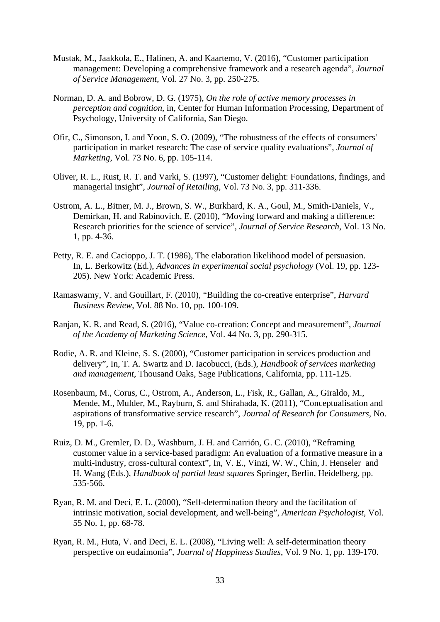- Mustak, M., Jaakkola, E., Halinen, A. and Kaartemo, V. (2016), "Customer participation management: Developing a comprehensive framework and a research agenda", *Journal of Service Management*, Vol. 27 No. 3, pp. 250-275.
- Norman, D. A. and Bobrow, D. G. (1975), *On the role of active memory processes in perception and cognition*, in, Center for Human Information Processing, Department of Psychology, University of California, San Diego.
- Ofir, C., Simonson, I. and Yoon, S. O. (2009), "The robustness of the effects of consumers' participation in market research: The case of service quality evaluations", *Journal of Marketing*, Vol. 73 No. 6, pp. 105-114.
- Oliver, R. L., Rust, R. T. and Varki, S. (1997), "Customer delight: Foundations, findings, and managerial insight", *Journal of Retailing*, Vol. 73 No. 3, pp. 311-336.
- Ostrom, A. L., Bitner, M. J., Brown, S. W., Burkhard, K. A., Goul, M., Smith-Daniels, V., Demirkan, H. and Rabinovich, E. (2010), "Moving forward and making a difference: Research priorities for the science of service", *Journal of Service Research*, Vol. 13 No. 1, pp. 4-36.
- Petty, R. E. and Cacioppo, J. T. (1986), The elaboration likelihood model of persuasion. In, L. Berkowitz (Ed.), *Advances in experimental social psychology* (Vol. 19, pp. 123- 205). New York: Academic Press.
- Ramaswamy, V. and Gouillart, F. (2010), "Building the co-creative enterprise", *Harvard Business Review*, Vol. 88 No. 10, pp. 100-109.
- Ranjan, K. R. and Read, S. (2016), "Value co-creation: Concept and measurement", *Journal of the Academy of Marketing Science*, Vol. 44 No. 3, pp. 290-315.
- Rodie, A. R. and Kleine, S. S. (2000), "Customer participation in services production and delivery", In, T. A. Swartz and D. Iacobucci, (Eds.), *Handbook of services marketing and management*, Thousand Oaks, Sage Publications, California, pp. 111-125.
- Rosenbaum, M., Corus, C., Ostrom, A., Anderson, L., Fisk, R., Gallan, A., Giraldo, M., Mende, M., Mulder, M., Rayburn, S. and Shirahada, K. (2011), "Conceptualisation and aspirations of transformative service research", *Journal of Research for Consumers*, No. 19, pp. 1-6.
- Ruiz, D. M., Gremler, D. D., Washburn, J. H. and Carrión, G. C. (2010), "Reframing customer value in a service-based paradigm: An evaluation of a formative measure in a multi-industry, cross-cultural context", In, V. E., Vinzi, W. W., Chin, J. Henseler and H. Wang (Eds.), *Handbook of partial least squares* Springer, Berlin, Heidelberg, pp. 535-566.
- Ryan, R. M. and Deci, E. L. (2000), "Self-determination theory and the facilitation of intrinsic motivation, social development, and well-being", *American Psychologist*, Vol. 55 No. 1, pp. 68-78.
- Ryan, R. M., Huta, V. and Deci, E. L. (2008), "Living well: A self-determination theory perspective on eudaimonia", *Journal of Happiness Studies*, Vol. 9 No. 1, pp. 139-170.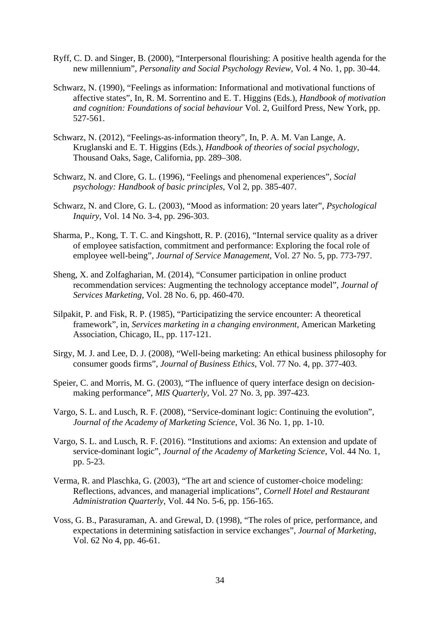- Ryff, C. D. and Singer, B. (2000), "Interpersonal flourishing: A positive health agenda for the new millennium", *Personality and Social Psychology Review*, Vol. 4 No. 1, pp. 30-44.
- Schwarz, N. (1990), "Feelings as information: Informational and motivational functions of affective states", In, R. M. Sorrentino and E. T. Higgins (Eds.), *Handbook of motivation and cognition: Foundations of social behaviour* Vol. 2, Guilford Press, New York, pp. 527-561.
- Schwarz, N. (2012), "Feelings-as-information theory", In, P. A. M. Van Lange, A. Kruglanski and E. T. Higgins (Eds.), *Handbook of theories of social psychology*, Thousand Oaks, Sage, California, pp. 289–308.
- Schwarz, N. and Clore, G. L. (1996), "Feelings and phenomenal experiences", *Social psychology: Handbook of basic principles*, Vol 2, pp. 385-407.
- Schwarz, N. and Clore, G. L. (2003), "Mood as information: 20 years later", *Psychological Inquiry*, Vol. 14 No. 3-4, pp. 296-303.
- Sharma, P., Kong, T. T. C. and Kingshott, R. P. (2016), "Internal service quality as a driver of employee satisfaction, commitment and performance: Exploring the focal role of employee well-being", *Journal of Service Management*, Vol. 27 No. 5, pp. 773-797.
- Sheng, X. and Zolfagharian, M. (2014), "Consumer participation in online product recommendation services: Augmenting the technology acceptance model", *Journal of Services Marketing*, Vol. 28 No. 6, pp. 460-470.
- Silpakit, P. and Fisk, R. P. (1985), "Participatizing the service encounter: A theoretical framework", in, *Services marketing in a changing environment*, American Marketing Association, Chicago, IL, pp. 117-121.
- Sirgy, M. J. and Lee, D. J. (2008), "Well-being marketing: An ethical business philosophy for consumer goods firms", *Journal of Business Ethics*, Vol. 77 No. 4, pp. 377-403.
- Speier, C. and Morris, M. G. (2003), "The influence of query interface design on decisionmaking performance", *MIS Quarterly*, Vol. 27 No. 3, pp. 397-423.
- Vargo, S. L. and Lusch, R. F. (2008), "Service-dominant logic: Continuing the evolution", *Journal of the Academy of Marketing Science*, Vol. 36 No. 1, pp. 1-10.
- Vargo, S. L. and Lusch, R. F. (2016). "Institutions and axioms: An extension and update of service-dominant logic", *Journal of the Academy of Marketing Science*, Vol. 44 No. 1, pp. 5-23.
- Verma, R. and Plaschka, G. (2003), "The art and science of customer-choice modeling: Reflections, advances, and managerial implications", *Cornell Hotel and Restaurant Administration Quarterly*, Vol. 44 No. 5-6, pp. 156-165.
- Voss, G. B., Parasuraman, A. and Grewal, D. (1998), "The roles of price, performance, and expectations in determining satisfaction in service exchanges", *Journal of Marketing*, Vol. 62 No 4, pp. 46-61.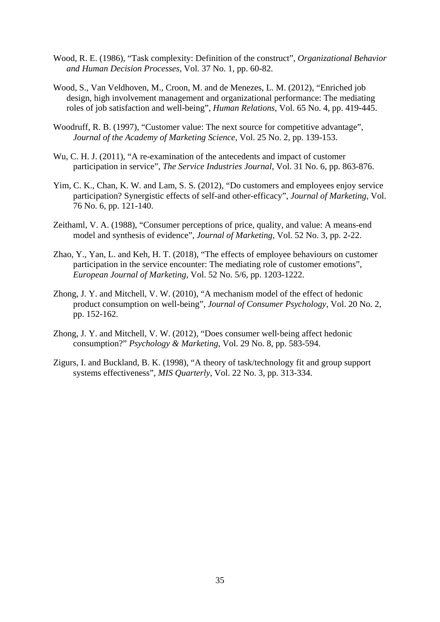- Wood, R. E. (1986), "Task complexity: Definition of the construct", *Organizational Behavior and Human Decision Processes*, Vol. 37 No. 1, pp. 60-82.
- Wood, S., Van Veldhoven, M., Croon, M. and de Menezes, L. M. (2012), "Enriched job design, high involvement management and organizational performance: The mediating roles of job satisfaction and well-being", *Human Relations*, Vol. 65 No. 4, pp. 419-445.
- Woodruff, R. B. (1997), "Customer value: The next source for competitive advantage", *Journal of the Academy of Marketing Science*, Vol. 25 No. 2, pp. 139-153.
- Wu, C. H. J. (2011), "A re-examination of the antecedents and impact of customer participation in service", *The Service Industries Journal*, Vol. 31 No. 6, pp. 863-876.
- Yim, C. K., Chan, K. W. and Lam, S. S. (2012), "Do customers and employees enjoy service participation? Synergistic effects of self-and other-efficacy", *Journal of Marketing*, Vol. 76 No. 6, pp. 121-140.
- Zeithaml, V. A. (1988), "Consumer perceptions of price, quality, and value: A means-end model and synthesis of evidence", *Journal of Marketing*, Vol. 52 No. 3, pp. 2-22.
- Zhao, Y., Yan, L. and Keh, H. T. (2018), "The effects of employee behaviours on customer participation in the service encounter: The mediating role of customer emotions", *European Journal of Marketing*, Vol. 52 No. 5/6, pp. 1203-1222.
- Zhong, J. Y. and Mitchell, V. W. (2010), "A mechanism model of the effect of hedonic product consumption on well-being", *Journal of Consumer Psychology*, Vol. 20 No. 2, pp. 152-162.
- Zhong, J. Y. and Mitchell, V. W. (2012), "Does consumer well-being affect hedonic consumption?" *Psychology & Marketing*, Vol. 29 No. 8, pp. 583-594.
- Zigurs, I. and Buckland, B. K. (1998), "A theory of task/technology fit and group support systems effectiveness", *MIS Quarterly*, Vol. 22 No. 3, pp. 313-334.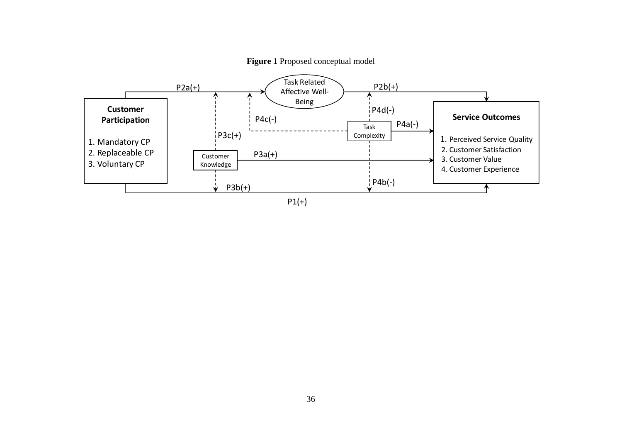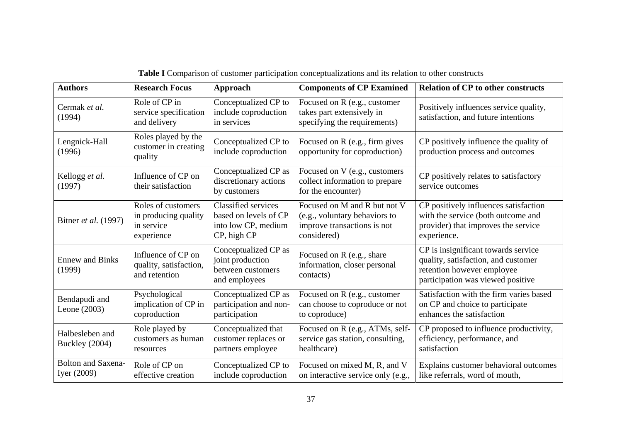| <b>Authors</b>                           | <b>Research Focus</b>                                                  | Approach                                                                                  | <b>Components of CP Examined</b>                                                                            | <b>Relation of CP to other constructs</b>                                                                                                     |  |
|------------------------------------------|------------------------------------------------------------------------|-------------------------------------------------------------------------------------------|-------------------------------------------------------------------------------------------------------------|-----------------------------------------------------------------------------------------------------------------------------------------------|--|
| Cermak et al.<br>(1994)                  | Role of CP in<br>service specification<br>and delivery                 | Conceptualized CP to<br>include coproduction<br>in services                               | Focused on R (e.g., customer<br>takes part extensively in<br>specifying the requirements)                   | Positively influences service quality,<br>satisfaction, and future intentions                                                                 |  |
| Lengnick-Hall<br>(1996)                  | Roles played by the<br>customer in creating<br>quality                 | Conceptualized CP to<br>include coproduction                                              | Focused on R (e.g., firm gives<br>opportunity for coproduction)                                             | CP positively influence the quality of<br>production process and outcomes                                                                     |  |
| Kellogg et al.<br>(1997)                 | Influence of CP on<br>their satisfaction                               | Conceptualized CP as<br>discretionary actions<br>by customers                             | Focused on V (e.g., customers<br>collect information to prepare<br>for the encounter)                       | CP positively relates to satisfactory<br>service outcomes                                                                                     |  |
| Bitner et al. (1997)                     | Roles of customers<br>in producing quality<br>in service<br>experience | <b>Classified services</b><br>based on levels of CP<br>into low CP, medium<br>CP, high CP | Focused on M and R but not V<br>(e.g., voluntary behaviors to<br>improve transactions is not<br>considered) | CP positively influences satisfaction<br>with the service (both outcome and<br>provider) that improves the service<br>experience.             |  |
| <b>Ennew and Binks</b><br>(1999)         | Influence of CP on<br>quality, satisfaction,<br>and retention          | Conceptualized CP as<br>joint production<br>between customers<br>and employees            | Focused on R (e.g., share<br>information, closer personal<br>contacts)                                      | CP is insignificant towards service<br>quality, satisfaction, and customer<br>retention however employee<br>participation was viewed positive |  |
| Bendapudi and<br>Leone $(2003)$          | Psychological<br>implication of CP in<br>coproduction                  | Conceptualized CP as<br>participation and non-<br>participation                           | Focused on R (e.g., customer<br>can choose to coproduce or not<br>to coproduce)                             | Satisfaction with the firm varies based<br>on CP and choice to participate<br>enhances the satisfaction                                       |  |
| Halbesleben and<br>Buckley (2004)        | Role played by<br>customers as human<br>resources                      | Conceptualized that<br>customer replaces or<br>partners employee                          | Focused on R (e.g., ATMs, self-<br>service gas station, consulting,<br>healthcare)                          | CP proposed to influence productivity,<br>efficiency, performance, and<br>satisfaction                                                        |  |
| <b>Bolton and Saxena-</b><br>Iyer (2009) | Role of CP on<br>effective creation                                    | Conceptualized CP to<br>include coproduction                                              | Focused on mixed M, R, and V<br>on interactive service only (e.g.,                                          | Explains customer behavioral outcomes<br>like referrals, word of mouth,                                                                       |  |

**Table I** Comparison of customer participation conceptualizations and its relation to other constructs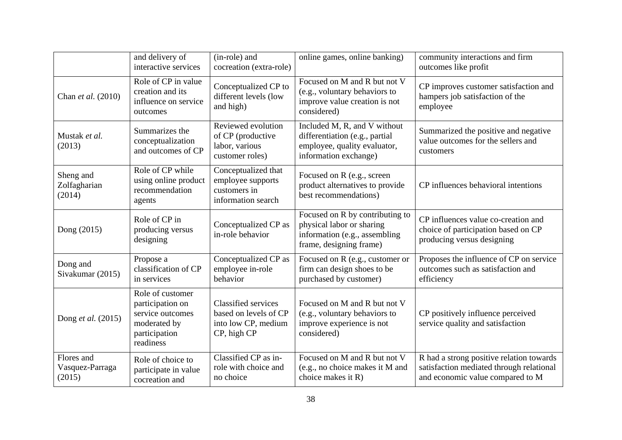|                                         | and delivery of<br>interactive services                                                                | (in-role) and<br>cocreation (extra-role)                                                  | online games, online banking)                                                                                            | community interactions and firm<br>outcomes like profit                                                                  |  |
|-----------------------------------------|--------------------------------------------------------------------------------------------------------|-------------------------------------------------------------------------------------------|--------------------------------------------------------------------------------------------------------------------------|--------------------------------------------------------------------------------------------------------------------------|--|
| Chan et al. (2010)                      | Role of CP in value<br>creation and its<br>influence on service<br>outcomes                            | Conceptualized CP to<br>different levels (low<br>and high)                                | Focused on M and R but not V<br>(e.g., voluntary behaviors to<br>improve value creation is not<br>considered)            | CP improves customer satisfaction and<br>hampers job satisfaction of the<br>employee                                     |  |
| Mustak et al.<br>(2013)                 | Summarizes the<br>conceptualization<br>and outcomes of CP                                              | Reviewed evolution<br>of CP (productive<br>labor, various<br>customer roles)              | Included M, R, and V without<br>differentiation (e.g., partial<br>employee, quality evaluator,<br>information exchange)  | Summarized the positive and negative<br>value outcomes for the sellers and<br>customers                                  |  |
| Sheng and<br>Zolfagharian<br>(2014)     | Role of CP while<br>using online product<br>recommendation<br>agents                                   | Conceptualized that<br>employee supports<br>customers in<br>information search            | Focused on R (e.g., screen<br>product alternatives to provide<br>best recommendations)                                   | CP influences behavioral intentions                                                                                      |  |
| Dong (2015)                             | Role of CP in<br>producing versus<br>designing                                                         | Conceptualized CP as<br>in-role behavior                                                  | Focused on R by contributing to<br>physical labor or sharing<br>information (e.g., assembling<br>frame, designing frame) | CP influences value co-creation and<br>choice of participation based on CP<br>producing versus designing                 |  |
| Dong and<br>Sivakumar (2015)            | Propose a<br>classification of CP<br>in services                                                       | Conceptualized CP as<br>employee in-role<br>behavior                                      | Focused on R (e.g., customer or<br>firm can design shoes to be<br>purchased by customer)                                 | Proposes the influence of CP on service<br>outcomes such as satisfaction and<br>efficiency                               |  |
| Dong et al. (2015)                      | Role of customer<br>participation on<br>service outcomes<br>moderated by<br>participation<br>readiness | <b>Classified services</b><br>based on levels of CP<br>into low CP, medium<br>CP, high CP | Focused on M and R but not V<br>(e.g., voluntary behaviors to<br>improve experience is not<br>considered)                | CP positively influence perceived<br>service quality and satisfaction                                                    |  |
| Flores and<br>Vasquez-Parraga<br>(2015) | Role of choice to<br>participate in value<br>cocreation and                                            | Classified CP as in-<br>role with choice and<br>no choice                                 | Focused on M and R but not V<br>(e.g., no choice makes it M and<br>choice makes it R)                                    | R had a strong positive relation towards<br>satisfaction mediated through relational<br>and economic value compared to M |  |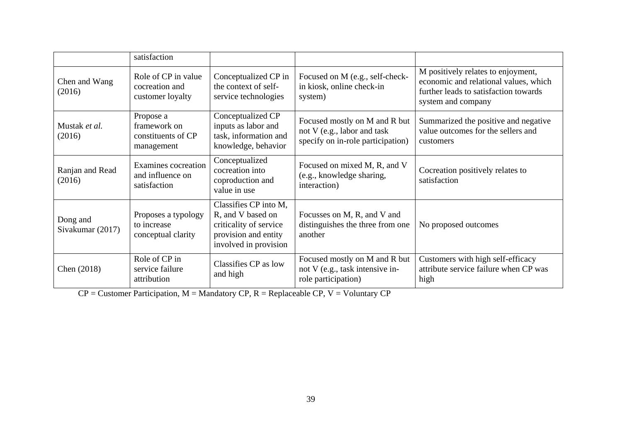|                              | satisfaction                                                  |                                                                                                                       |                                                                                                   |                                                                                                                                            |  |
|------------------------------|---------------------------------------------------------------|-----------------------------------------------------------------------------------------------------------------------|---------------------------------------------------------------------------------------------------|--------------------------------------------------------------------------------------------------------------------------------------------|--|
| Chen and Wang<br>(2016)      | Role of CP in value<br>cocreation and<br>customer loyalty     | Conceptualized CP in<br>the context of self-<br>service technologies                                                  | Focused on M (e.g., self-check-<br>in kiosk, online check-in<br>system)                           | M positively relates to enjoyment,<br>economic and relational values, which<br>further leads to satisfaction towards<br>system and company |  |
| Mustak et al.<br>(2016)      | Propose a<br>framework on<br>constituents of CP<br>management | Conceptualized CP<br>inputs as labor and<br>task, information and<br>knowledge, behavior                              | Focused mostly on M and R but<br>not V (e.g., labor and task<br>specify on in-role participation) | Summarized the positive and negative<br>value outcomes for the sellers and<br>customers                                                    |  |
| Ranjan and Read<br>(2016)    | Examines cocreation<br>and influence on<br>satisfaction       | Conceptualized<br>cocreation into<br>coproduction and<br>value in use                                                 | Focused on mixed M, R, and V<br>(e.g., knowledge sharing,<br>interaction)                         | Cocreation positively relates to<br>satisfaction                                                                                           |  |
| Dong and<br>Sivakumar (2017) | Proposes a typology<br>to increase<br>conceptual clarity      | Classifies CP into M,<br>R, and V based on<br>criticality of service<br>provision and entity<br>involved in provision | Focusses on M, R, and V and<br>distinguishes the three from one<br>another                        | No proposed outcomes                                                                                                                       |  |
| Chen (2018)                  | Role of CP in<br>service failure<br>attribution               | Classifies CP as low<br>and high                                                                                      | Focused mostly on M and R but<br>not V (e.g., task intensive in-<br>role participation)           | Customers with high self-efficacy<br>attribute service failure when CP was<br>high                                                         |  |

 $CP =$  Customer Participation,  $M =$  Mandatory CP,  $R =$  Replaceable CP,  $V =$  Voluntary CP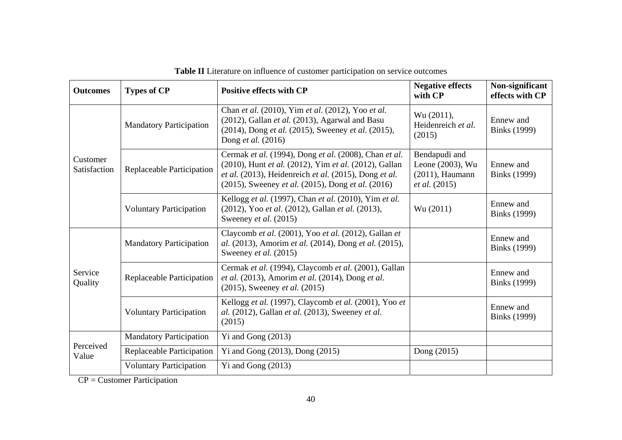| <b>Outcomes</b>          | <b>Types of CP</b>             | <b>Positive effects with CP</b>                                                                                                                                                                                              | <b>Negative effects</b><br>with CP                                              | Non-significant<br>effects with CP |
|--------------------------|--------------------------------|------------------------------------------------------------------------------------------------------------------------------------------------------------------------------------------------------------------------------|---------------------------------------------------------------------------------|------------------------------------|
| Customer<br>Satisfaction | <b>Mandatory Participation</b> | Chan et al. (2010), Yim et al. (2012), Yoo et al.<br>(2012), Gallan et al. (2013), Agarwal and Basu<br>(2014), Dong et al. (2015), Sweeney et al. (2015),<br>Dong et al. (2016)                                              | Wu (2011),<br>Heidenreich et al.<br>(2015)                                      | Ennew and<br><b>Binks</b> (1999)   |
|                          | Replaceable Participation      | Cermak et al. (1994), Dong et al. (2008), Chan et al.<br>(2010), Hunt et al. (2012), Yim et al. (2012), Gallan<br>et al. (2013), Heidenreich et al. (2015), Dong et al.<br>(2015), Sweeney et al. (2015), Dong et al. (2016) | Bendapudi and<br>Leone (2003), Wu<br>$(2011)$ , Haumann<br><i>et al.</i> (2015) | Ennew and<br><b>Binks</b> (1999)   |
|                          | <b>Voluntary Participation</b> | Kellogg et al. (1997), Chan et al. (2010), Yim et al.<br>(2012), Yoo et al. (2012), Gallan et al. (2013),<br>Sweeney et al. (2015)                                                                                           | Wu (2011)                                                                       | Ennew and<br><b>Binks</b> (1999)   |
| Service<br>Quality       | <b>Mandatory Participation</b> | Claycomb et al. (2001), Yoo et al. (2012), Gallan et<br>al. (2013), Amorim et al. (2014), Dong et al. (2015),<br>Sweeney et al. (2015)                                                                                       |                                                                                 | Ennew and<br><b>Binks</b> (1999)   |
|                          | Replaceable Participation      | Cermak et al. (1994), Claycomb et al. (2001), Gallan<br>et al. (2013), Amorim et al. (2014), Dong et al.<br>$(2015)$ , Sweeney <i>et al.</i> $(2015)$                                                                        |                                                                                 | Ennew and<br><b>Binks</b> (1999)   |
|                          | <b>Voluntary Participation</b> | Kellogg et al. (1997), Claycomb et al. (2001), Yoo et<br>al. (2012), Gallan et al. (2013), Sweeney et al.<br>(2015)                                                                                                          |                                                                                 | Ennew and<br><b>Binks</b> (1999)   |
| Perceived<br>Value       | <b>Mandatory Participation</b> | Yi and Gong (2013)                                                                                                                                                                                                           |                                                                                 |                                    |
|                          | Replaceable Participation      | Yi and Gong $(2013)$ , Dong $(2015)$                                                                                                                                                                                         | Dong (2015)                                                                     |                                    |
|                          | <b>Voluntary Participation</b> | Yi and Gong $(2013)$                                                                                                                                                                                                         |                                                                                 |                                    |

**Table II** Literature on influence of customer participation on service outcomes

CP = Customer Participation